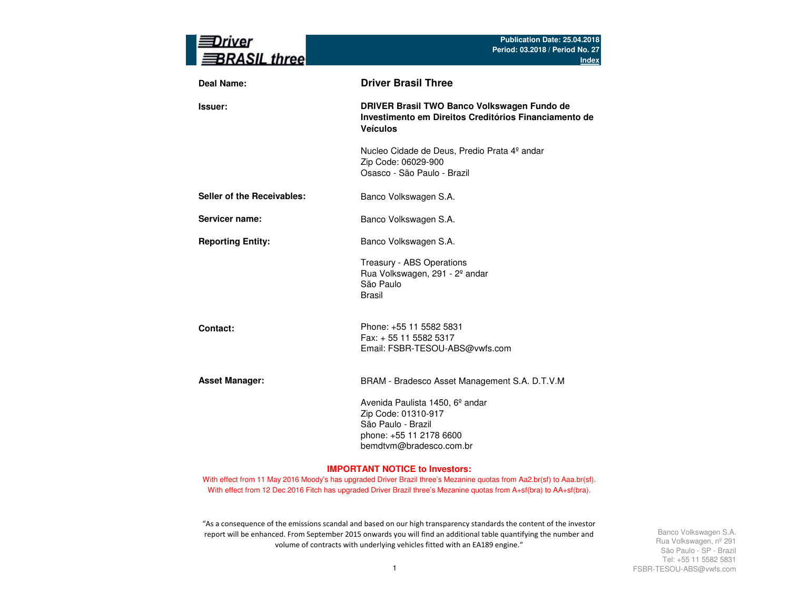| river<br><b>BRASIL three</b> | Publication Date: 25.04.2018<br>Period: 03.2018 / Period No. 27<br><u>Index</u>                                                                |
|------------------------------|------------------------------------------------------------------------------------------------------------------------------------------------|
| <b>Deal Name:</b>            | <b>Driver Brasil Three</b>                                                                                                                     |
| Issuer:                      | DRIVER Brasil TWO Banco Volkswagen Fundo de<br>Investimento em Direitos Creditórios Financiamento de<br><b>Veículos</b>                        |
|                              | Nucleo Cidade de Deus, Predio Prata 4º andar<br>Zip Code: 06029-900<br>Osasco - São Paulo - Brazil                                             |
| Seller of the Receivables:   | Banco Volkswagen S.A.                                                                                                                          |
| Servicer name:               | Banco Volkswagen S.A.                                                                                                                          |
| <b>Reporting Entity:</b>     | Banco Volkswagen S.A.                                                                                                                          |
|                              | Treasury - ABS Operations<br>Rua Volkswagen, 291 - 2º andar<br>São Paulo<br>Brasil                                                             |
| Contact:                     | Phone: +55 11 5582 5831<br>Fax: + 55 11 5582 5317<br>Email: FSBR-TESOU-ABS@vwfs.com                                                            |
| <b>Asset Manager:</b>        | BRAM - Bradesco Asset Management S.A. D.T.V.M                                                                                                  |
|                              | Avenida Paulista 1450, 6 <sup>°</sup> andar<br>Zip Code: 01310-917<br>São Paulo - Brazil<br>phone: +55 11 2178 6600<br>bemdtvm@bradesco.com.br |

#### **IMPORTANT NOTICE to Investors:**

With effect from 11 May 2016 Moody's has upgraded Driver Brazil three's Mezanine quotas from Aa2.br(sf) to Aaa.br(sf). With effect from 12 Dec 2016 Fitch has upgraded Driver Brazil three's Mezanine quotas from A+sf(bra) to AA+sf(bra).

"As a consequence of the emissions scandal and based on our high transparency standards the content of the investor report will be enhanced. From September 2015 onwards you will find an additional table quantifying the number and volume of contracts with underlying vehicles fitted with an EA189 engine."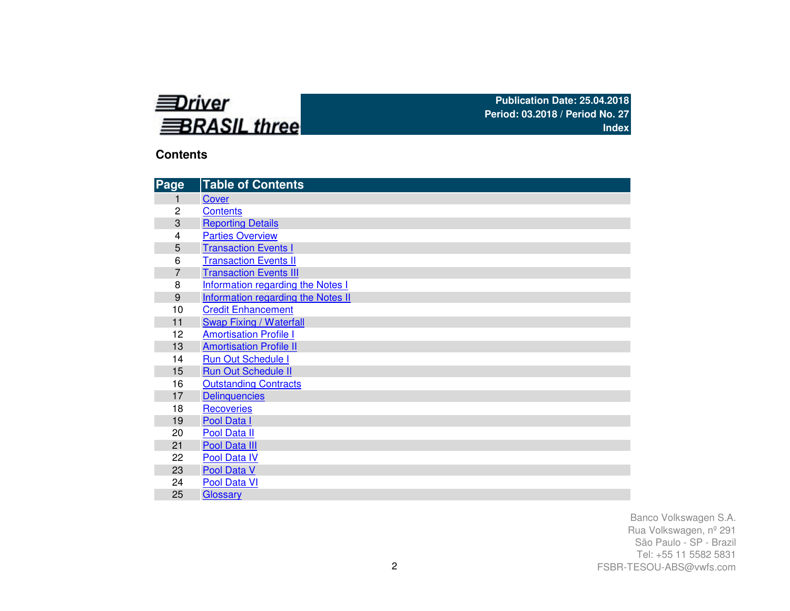

## **Contents**

| Page           | <b>Table of Contents</b>                 |
|----------------|------------------------------------------|
|                | Cover                                    |
| 2              | <b>Contents</b>                          |
| 3              | <b>Reporting Details</b>                 |
| 4              | <b>Parties Overview</b>                  |
| 5              | <b>Transaction Events I</b>              |
| 6              | <b>Transaction Events II</b>             |
| $\overline{7}$ | <b>Transaction Events III</b>            |
| 8              | <b>Information regarding the Notes I</b> |
| 9              | Information regarding the Notes II       |
| 10             | <b>Credit Enhancement</b>                |
| 11             | Swap Fixing / Waterfall                  |
| 12             | <b>Amortisation Profile I</b>            |
| 13             | <b>Amortisation Profile II</b>           |
| 14             | <b>Run Out Schedule I</b>                |
| 15             | <b>Run Out Schedule II</b>               |
| 16             | <b>Outstanding Contracts</b>             |
| 17             | <b>Delinquencies</b>                     |
| 18             | <b>Recoveries</b>                        |
| 19             | Pool Data I                              |
| 20             | Pool Data II                             |
| 21             | Pool Data III                            |
| 22             | Pool Data IV                             |
| 23             | Pool Data V                              |
| 24             | Pool Data VI                             |
| 25             | Glossary                                 |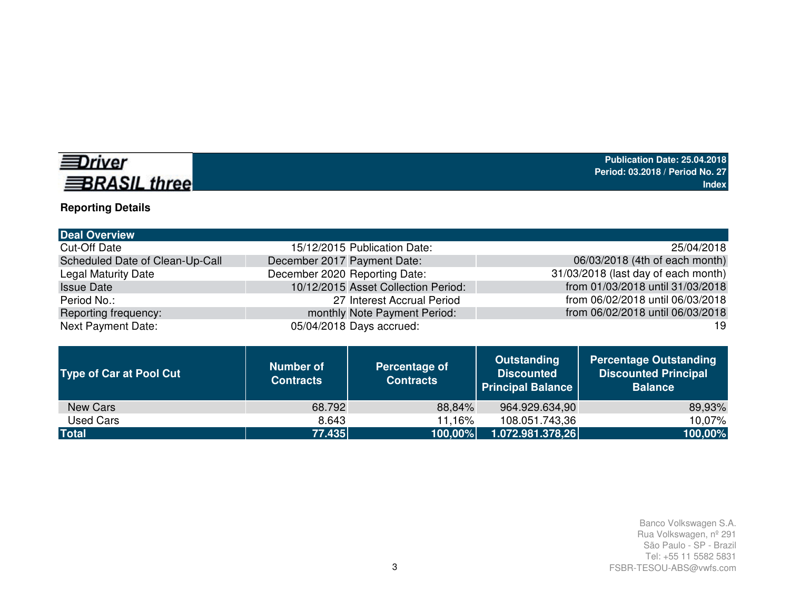

# **Reporting Details**

| <b>Deal Overview</b>            |                                     |                                     |
|---------------------------------|-------------------------------------|-------------------------------------|
| <b>Cut-Off Date</b>             | 15/12/2015 Publication Date:        | 25/04/2018                          |
| Scheduled Date of Clean-Up-Call | December 2017 Payment Date:         | 06/03/2018 (4th of each month)      |
| <b>Legal Maturity Date</b>      | December 2020 Reporting Date:       | 31/03/2018 (last day of each month) |
| <b>Issue Date</b>               | 10/12/2015 Asset Collection Period: | from 01/03/2018 until 31/03/2018    |
| Period No.:                     | 27 Interest Accrual Period          | from 06/02/2018 until 06/03/2018    |
| Reporting frequency:            | monthly Note Payment Period:        | from 06/02/2018 until 06/03/2018    |
| <b>Next Payment Date:</b>       | 05/04/2018 Days accrued:            | 19                                  |

| <b>Type of Car at Pool Cut</b> | <b>Number of</b><br><b>Contracts</b> | Percentage of<br><b>Contracts</b> | <b>Outstanding</b><br><b>Discounted</b><br><b>Principal Balance</b> | <b>Percentage Outstanding</b><br><b>Discounted Principal</b><br><b>Balance</b> |
|--------------------------------|--------------------------------------|-----------------------------------|---------------------------------------------------------------------|--------------------------------------------------------------------------------|
| New Cars                       | 68.792                               | 88,84%                            | 964.929.634,90                                                      | 89,93%                                                                         |
| Used Cars                      | 8.643                                | 11,16%                            | 108.051.743,36                                                      | 10,07%                                                                         |
| <b>Total</b>                   | 77.435                               | $100,00\%$                        | 1.072.981.378,26                                                    | 100,00%                                                                        |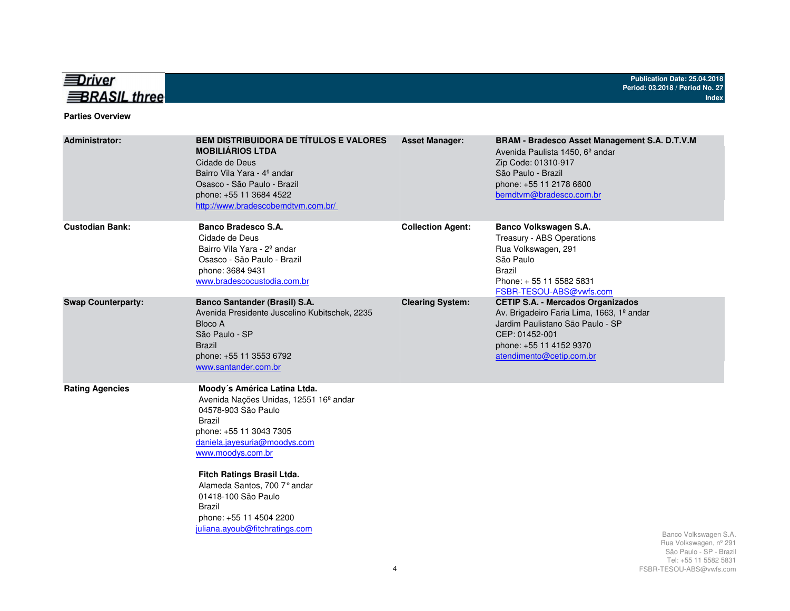

#### **Parties Overview**

| <b>Administrator:</b>     | <b>BEM DISTRIBUIDORA DE TÍTULOS E VALORES</b><br><b>MOBILIÁRIOS LTDA</b><br>Cidade de Deus<br>Bairro Vila Yara - 4º andar<br>Osasco - São Paulo - Brazil<br>phone: +55 11 3684 4522<br>http://www.bradescobemdtvm.com.br/                                                                                                                                              | <b>Asset Manager:</b>    | BRAM - Bradesco Asset Management S.A. D.T.V.M<br>Avenida Paulista 1450, 6 <sup>°</sup> andar<br>Zip Code: 01310-917<br>São Paulo - Brazil<br>phone: +55 11 2178 6600<br>bemdtvm@bradesco.com.br    |                                                                                                    |
|---------------------------|------------------------------------------------------------------------------------------------------------------------------------------------------------------------------------------------------------------------------------------------------------------------------------------------------------------------------------------------------------------------|--------------------------|----------------------------------------------------------------------------------------------------------------------------------------------------------------------------------------------------|----------------------------------------------------------------------------------------------------|
| <b>Custodian Bank:</b>    | Banco Bradesco S.A.<br>Cidade de Deus<br>Bairro Vila Yara - 2 <sup>°</sup> andar<br>Osasco - São Paulo - Brazil<br>phone: 3684 9431<br>www.bradescocustodia.com.br                                                                                                                                                                                                     | <b>Collection Agent:</b> | Banco Volkswagen S.A.<br>Treasury - ABS Operations<br>Rua Volkswagen, 291<br>São Paulo<br><b>Brazil</b><br>Phone: +55 11 5582 5831<br>FSBR-TESOU-ABS@vwfs.com                                      |                                                                                                    |
| <b>Swap Counterparty:</b> | <b>Banco Santander (Brasil) S.A.</b><br>Avenida Presidente Juscelino Kubitschek, 2235<br>Bloco A<br>São Paulo - SP<br><b>Brazil</b><br>phone: +55 11 3553 6792<br>www.santander.com.br                                                                                                                                                                                 | <b>Clearing System:</b>  | <b>CETIP S.A. - Mercados Organizados</b><br>Av. Brigadeiro Faria Lima, 1663, 1º andar<br>Jardim Paulistano São Paulo - SP<br>CEP: 01452-001<br>phone: +55 11 4152 9370<br>atendimento@cetip.com.br |                                                                                                    |
| <b>Rating Agencies</b>    | Moody's América Latina Ltda.<br>Avenida Nações Unidas, 12551 16 <sup>°</sup> andar<br>04578-903 São Paulo<br><b>Brazil</b><br>phone: +55 11 3043 7305<br>daniela.jayesuria@moodys.com<br>www.moodys.com.br<br>Fitch Ratings Brasil Ltda.<br>Alameda Santos, 700 7° andar<br>01418-100 São Paulo<br>Brazil<br>phone: +55 11 4504 2200<br>juliana.ayoub@fitchratings.com |                          |                                                                                                                                                                                                    | Banco Volkswagen S.A.<br>Rua Volkswagen, nº 291<br>São Paulo - SP - Brazil<br>Tel: 55 11 5582 5831 |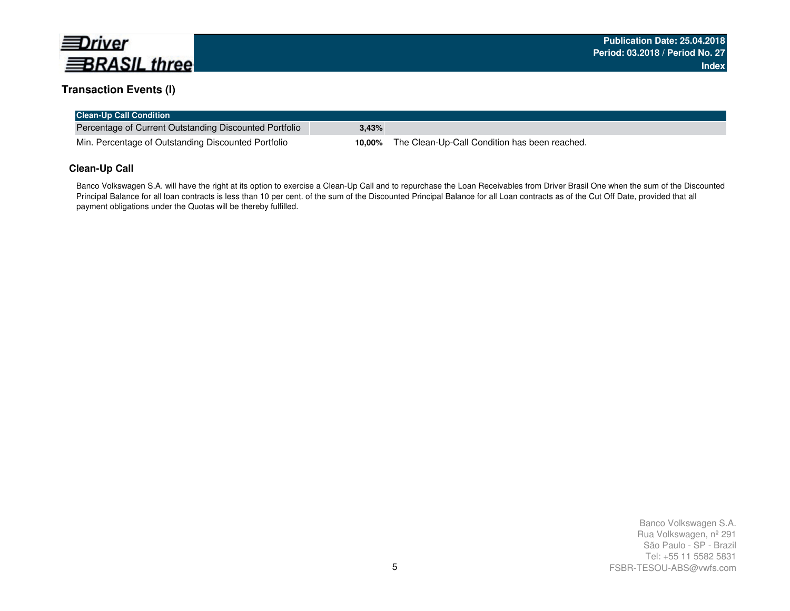

## **Transaction Events (I)**

| <b>Clean-Up Call Condition</b>                         |        |                                               |
|--------------------------------------------------------|--------|-----------------------------------------------|
| Percentage of Current Outstanding Discounted Portfolio | 3.43%  |                                               |
| Min. Percentage of Outstanding Discounted Portfolio    | 10.00% | The Clean-Up-Call Condition has been reached. |

## **Clean-Up Call**

Banco Volkswagen S.A. will have the right at its option to exercise a Clean-Up Call and to repurchase the Loan Receivables from Driver Brasil One when the sum of the Discounted Principal Balance for all loan contracts is less than 10 per cent. of the sum of the Discounted Principal Balance for all Loan contracts as of the Cut Off Date, provided that all payment obligations under the Quotas will be thereby fulfilled.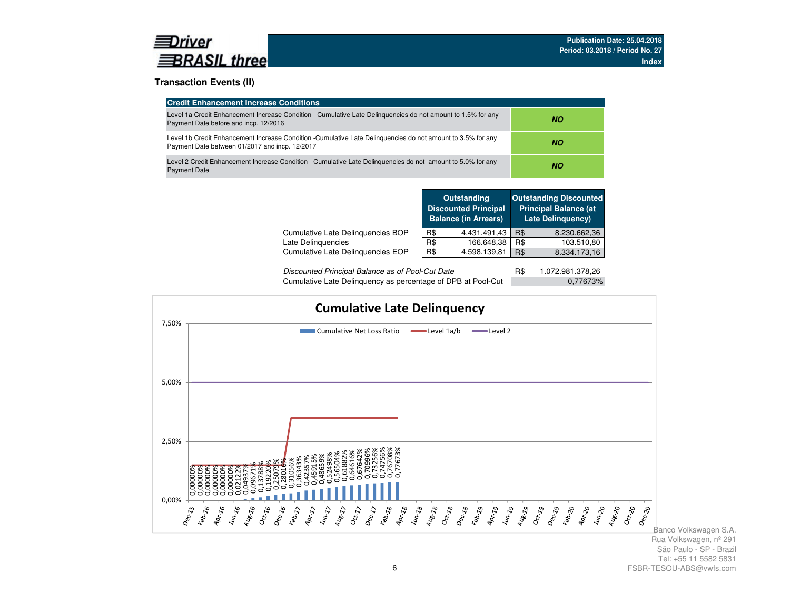

## **Transaction Events (II)**

| <b>Credit Enhancement Increase Conditions</b>                                                                                                                 |     |  |  |  |
|---------------------------------------------------------------------------------------------------------------------------------------------------------------|-----|--|--|--|
| Level 1a Credit Enhancement Increase Condition - Cumulative Late Delinguencies do not amount to 1.5% for any<br>Payment Date before and incp. 12/2016         | NO. |  |  |  |
| Level 1b Credit Enhancement Increase Condition -Cumulative Late Delinguencies do not amount to 3.5% for any<br>Payment Date between 01/2017 and incp. 12/2017 | NO. |  |  |  |
| Level 2 Credit Enhancement Increase Condition - Cumulative Late Delinguencies do not amount to 5.0% for any<br><b>Payment Date</b>                            | NO. |  |  |  |

|                                   |     | <b>Outstanding</b><br><b>Discounted Principal</b><br><b>Balance (in Arrears)</b> |     | <b>Outstanding Discounted</b><br><b>Principal Balance (at</b><br><b>Late Delinguency)</b> |
|-----------------------------------|-----|----------------------------------------------------------------------------------|-----|-------------------------------------------------------------------------------------------|
| Cumulative Late Delinguencies BOP | R\$ | 4.431.491,43                                                                     | R\$ | 8.230.662,36                                                                              |
| Late Delinguencies                | R\$ | 166.648,38                                                                       | R\$ | 103.510,80                                                                                |
| Cumulative Late Delinguencies EOP | R\$ | 4.598.139,81                                                                     | R\$ | 8.334.173.16                                                                              |
|                                   |     |                                                                                  |     |                                                                                           |

| Discounted Principal Balance as of Pool-Cut Date             | 1.072.981.378,26 |
|--------------------------------------------------------------|------------------|
| Cumulative Late Delinquency as percentage of DPB at Pool-Cut | 0,77673%         |

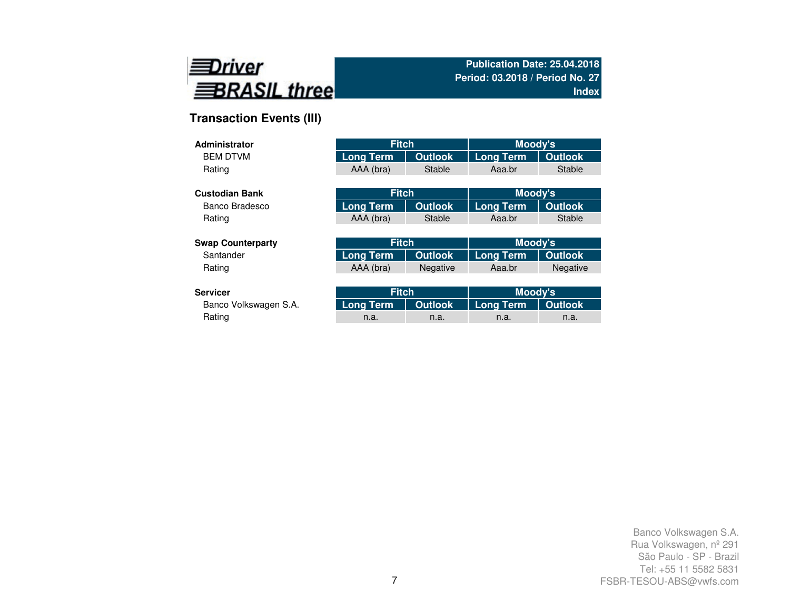

# **Transaction Events (III)**

| <b>Administrator</b>     | <b>Fitch</b>     |                | Moody's          |                |
|--------------------------|------------------|----------------|------------------|----------------|
| <b>BEM DTVM</b>          | <b>Long Term</b> | <b>Outlook</b> | Long Term        | <b>Outlook</b> |
| Rating                   | AAA (bra)        | <b>Stable</b>  | Aaa.br           | <b>Stable</b>  |
|                          |                  |                |                  |                |
| <b>Custodian Bank</b>    | <b>Fitch</b>     |                | Moody's          |                |
| Banco Bradesco           | <b>Long Term</b> | <b>Outlook</b> | <b>Long Term</b> | <b>Outlook</b> |
| Rating                   | AAA (bra)        | Stable         | Aaa.br           | Stable         |
|                          |                  |                |                  |                |
| <b>Swap Counterparty</b> | <b>Fitch</b>     |                | Moody's          |                |
| Santander                | <b>Long Term</b> | <b>Outlook</b> | <b>Long Term</b> | <b>Outlook</b> |
| Rating                   | AAA (bra)        | Negative       | Aaa.br           | Negative       |
|                          |                  |                |                  |                |
| <b>Servicer</b>          | <b>Fitch</b>     |                | Moody's          |                |

| ervicer!              | <b>Fitch</b> |      | Moody's                                   |      |  |
|-----------------------|--------------|------|-------------------------------------------|------|--|
| Banco Volkswagen S.A. |              |      | Long Term   Outlook   Long Term   Outlook |      |  |
| Rating                | n.a.         | n.a. | n.a.                                      | n.a. |  |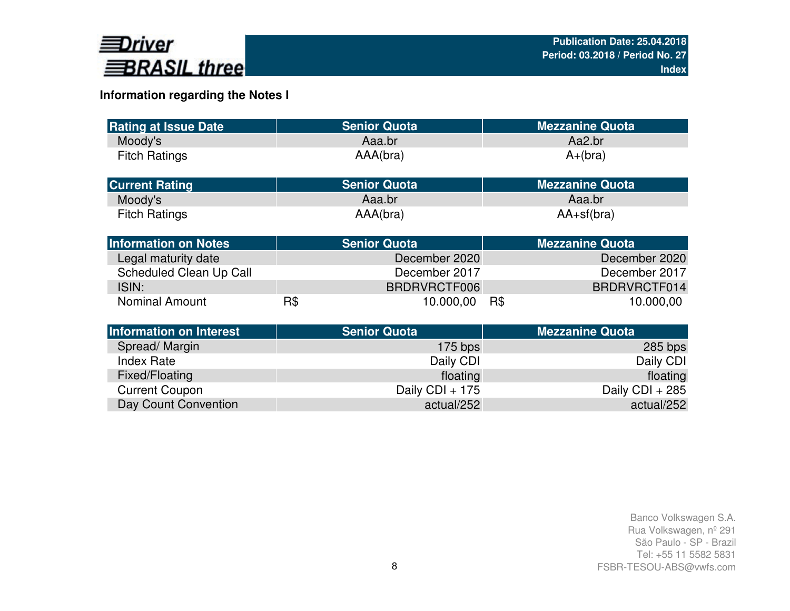

# **Information regarding the Notes I**

| <b>Rating at Issue Date</b>    |     | <b>Senior Quota</b>   | <b>Mezzanine Quota</b> |  |
|--------------------------------|-----|-----------------------|------------------------|--|
| Moody's                        |     | Aaa.br                | Aa2.br                 |  |
| <b>Fitch Ratings</b>           |     | AAA(bra)<br>$A+(bra)$ |                        |  |
| <b>Current Rating</b>          |     | <b>Senior Quota</b>   | <b>Mezzanine Quota</b> |  |
| Moody's                        |     | Aaa.br                | Aaa.br                 |  |
| <b>Fitch Ratings</b>           |     | AAA(bra)              | $AA+sf(bra)$           |  |
| <b>Information on Notes</b>    |     | <b>Senior Quota</b>   | <b>Mezzanine Quota</b> |  |
| Legal maturity date            |     | December 2020         | December 2020          |  |
| Scheduled Clean Up Call        |     | December 2017         | December 2017          |  |
| ISIN:                          |     | BRDRVRCTF006          | BRDRVRCTF014           |  |
| <b>Nominal Amount</b>          | R\$ | 10.000,00             | R\$<br>10.000,00       |  |
| <b>Information on Interest</b> |     | <b>Senior Quota</b>   | <b>Mezzanine Quota</b> |  |
| Spread/Margin                  |     | $175$ bps             | $285$ bps              |  |
| <b>Index Rate</b>              |     | Daily CDI             | Daily CDI              |  |
| Fixed/Floating                 |     | floating              | floating               |  |
| <b>Current Coupon</b>          |     | Daily CDI + 175       | Daily CDI + 285        |  |
| Day Count Convention           |     | actual/252            | actual/252             |  |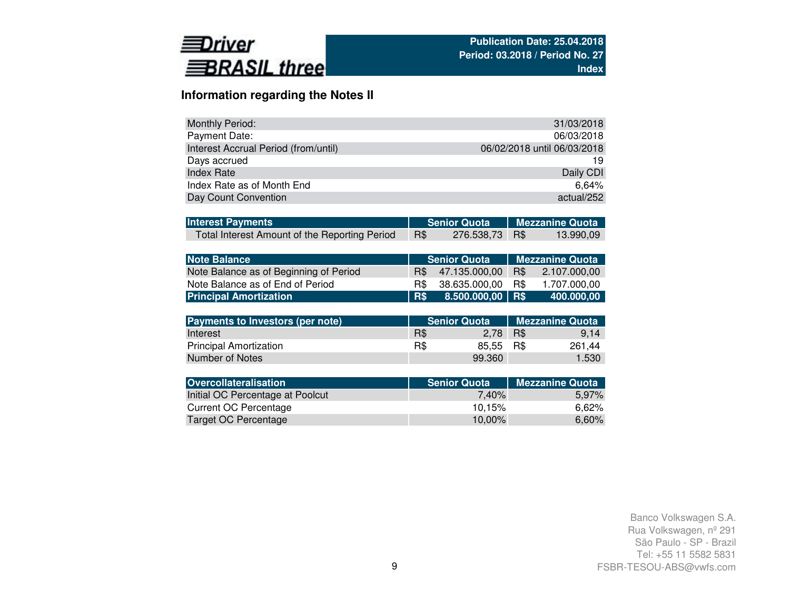

# **Information regarding the Notes II**

| <b>Monthly Period:</b>               | 31/03/2018                  |
|--------------------------------------|-----------------------------|
| Payment Date:                        | 06/03/2018                  |
| Interest Accrual Period (from/until) | 06/02/2018 until 06/03/2018 |
| Days accrued                         | 19                          |
| <b>Index Rate</b>                    | Daily CDI                   |
| Index Rate as of Month End           | 6.64%                       |
| Day Count Convention                 | actual/252                  |

| <b>Interest Payments</b>                      |            |                | Senior Quota   Mezzanine Quota |           |  |
|-----------------------------------------------|------------|----------------|--------------------------------|-----------|--|
| Total Interest Amount of the Reporting Period | <b>R\$</b> | 276.538,73 R\$ |                                | 13.990,09 |  |

| Note Balance                           |               | ′ Senior Quota .   | <b>Mezzanine Quota</b> |              |  |  |
|----------------------------------------|---------------|--------------------|------------------------|--------------|--|--|
| Note Balance as of Beginning of Period | $\mathsf{RS}$ | 47.135.000.00      | R\$                    | 2.107,000,00 |  |  |
| Note Balance as of End of Period       | R\$.          | 38.635.000.00      | R\$                    | 1.707.000.00 |  |  |
| <b>Principal Amortization</b>          | R\$           | $8.500.000,00$ R\$ |                        | 400.000.00   |  |  |

| <b>Payments to Investors (per note)</b> |     | <b>Senior Quota</b> | Mezzanine Quota |        |  |  |
|-----------------------------------------|-----|---------------------|-----------------|--------|--|--|
| Interest                                | R\$ | 2.78                | R\$             | 9.14   |  |  |
| <b>Principal Amortization</b>           | R\$ | 85.55 R\$           |                 | 261.44 |  |  |
| Number of Notes                         |     | 99.360              |                 | 1.530  |  |  |

| <b>Overcollateralisation</b>     | <b>Senior Quota</b> | <b>Mezzanine Quota</b> |
|----------------------------------|---------------------|------------------------|
| Initial OC Percentage at Poolcut | 7.40%               | 5.97%                  |
| Current OC Percentage            | 10.15%              | 6.62%                  |
| Target OC Percentage             | 10.00%              | 6,60%                  |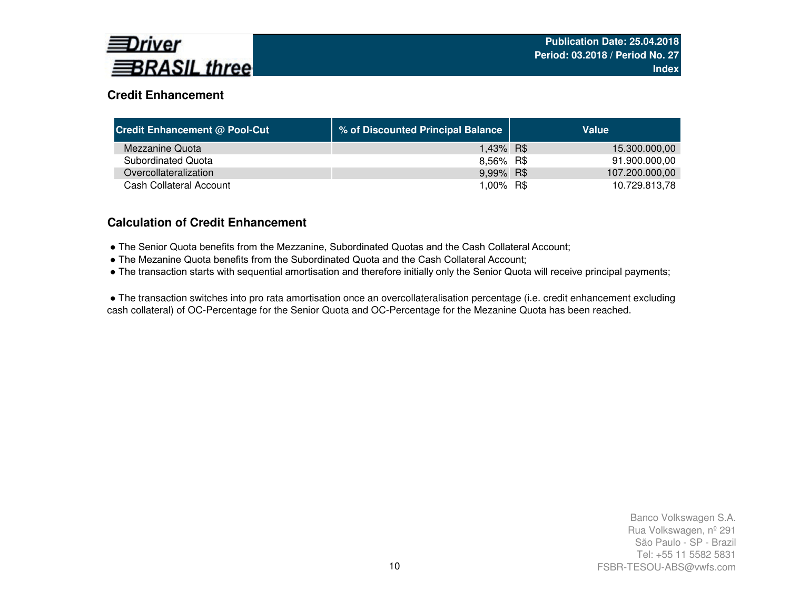

# **Credit Enhancement**

| <b>Credit Enhancement @ Pool-Cut</b> | % of Discounted Principal Balance | Value          |
|--------------------------------------|-----------------------------------|----------------|
| Mezzanine Quota                      | 1,43% R\$                         | 15.300.000,00  |
| Subordinated Quota                   | 8,56% R\$                         | 91.900.000,00  |
| Overcollateralization                | 9,99% R\$                         | 107.200.000,00 |
| Cash Collateral Account              | 1.00% R\$                         | 10.729.813,78  |

# **Calculation of Credit Enhancement**

- The Senior Quota benefits from the Mezzanine, Subordinated Quotas and the Cash Collateral Account;
- The Mezanine Quota benefits from the Subordinated Quota and the Cash Collateral Account;
- The transaction starts with sequential amortisation and therefore initially only the Senior Quota will receive principal payments;

● The transaction switches into pro rata amortisation once an overcollateralisation percentage (i.e. credit enhancement excluding cash collateral) of OC-Percentage for the Senior Quota and OC-Percentage for the Mezanine Quota has been reached.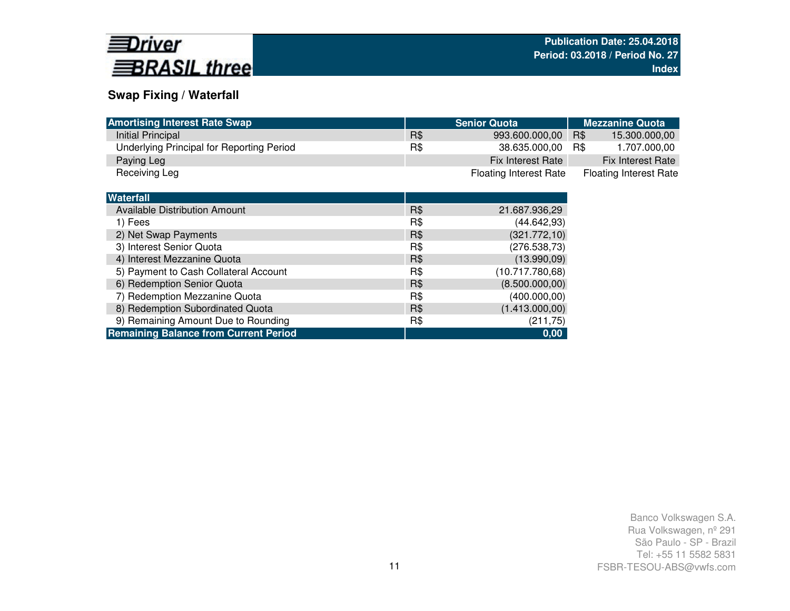

# **Swap Fixing / Waterfall**

| <b>Amortising Interest Rate Swap</b>         |     | <b>Senior Quota</b>           | <b>Mezzanine Quota</b>        |
|----------------------------------------------|-----|-------------------------------|-------------------------------|
| Initial Principal                            | R\$ | 993.600.000,00                | R\$<br>15.300.000,00          |
| Underlying Principal for Reporting Period    | R\$ | 38.635.000,00                 | R\$<br>1.707.000,00           |
| Paying Leg                                   |     | Fix Interest Rate             | <b>Fix Interest Rate</b>      |
| Receiving Leg                                |     | <b>Floating Interest Rate</b> | <b>Floating Interest Rate</b> |
|                                              |     |                               |                               |
| <b>Waterfall</b>                             |     |                               |                               |
| Available Distribution Amount                | R\$ | 21.687.936,29                 |                               |
| 1) Fees                                      | R\$ | (44.642, 93)                  |                               |
| 2) Net Swap Payments                         | R\$ | (321.772, 10)                 |                               |
| 3) Interest Senior Quota                     | R\$ | (276.538,73)                  |                               |
| 4) Interest Mezzanine Quota                  | R\$ | (13.990, 09)                  |                               |
| 5) Payment to Cash Collateral Account        | R\$ | (10.717.780,68)               |                               |
| 6) Redemption Senior Quota                   | R\$ | (8.500.000, 00)               |                               |
| 7) Redemption Mezzanine Quota                | R\$ | (400.000, 00)                 |                               |
| 8) Redemption Subordinated Quota             | R\$ | (1.413.000,00)                |                               |
| 9) Remaining Amount Due to Rounding          | R\$ | (211, 75)                     |                               |
| <b>Remaining Balance from Current Period</b> |     | 0,00                          |                               |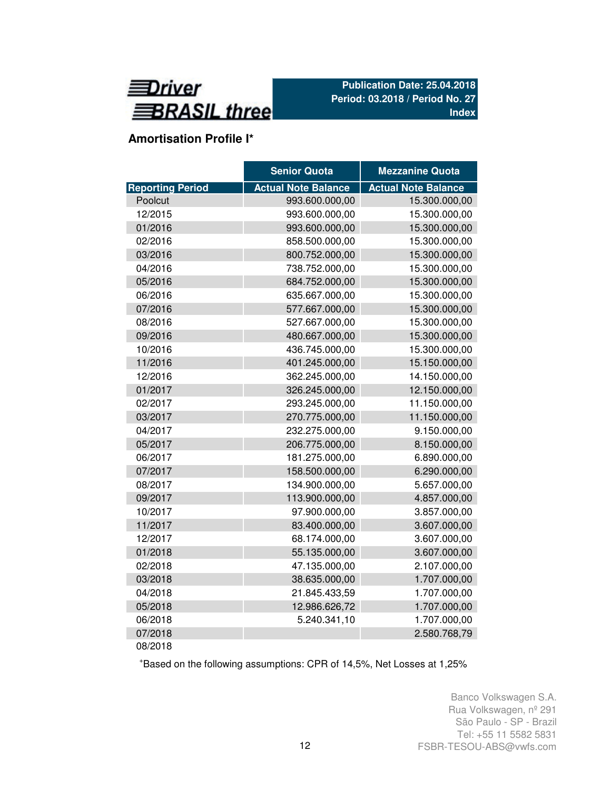

# **Amortisation Profile I\***

|                         | <b>Senior Quota</b>        | <b>Mezzanine Quota</b>     |
|-------------------------|----------------------------|----------------------------|
| <b>Reporting Period</b> | <b>Actual Note Balance</b> | <b>Actual Note Balance</b> |
| Poolcut                 | 993.600.000,00             | 15.300.000,00              |
| 12/2015                 | 993.600.000,00             | 15.300.000,00              |
| 01/2016                 | 993.600.000,00             | 15.300.000,00              |
| 02/2016                 | 858.500.000,00             | 15.300.000,00              |
| 03/2016                 | 800.752.000,00             | 15.300.000,00              |
| 04/2016                 | 738.752.000,00             | 15.300.000,00              |
| 05/2016                 | 684.752.000,00             | 15.300.000,00              |
| 06/2016                 | 635.667.000,00             | 15.300.000,00              |
| 07/2016                 | 577.667.000,00             | 15.300.000,00              |
| 08/2016                 | 527.667.000,00             | 15.300.000,00              |
| 09/2016                 | 480.667.000,00             | 15.300.000,00              |
| 10/2016                 | 436.745.000,00             | 15.300.000,00              |
| 11/2016                 | 401.245.000,00             | 15.150.000,00              |
| 12/2016                 | 362.245.000,00             | 14.150.000,00              |
| 01/2017                 | 326.245.000,00             | 12.150.000,00              |
| 02/2017                 | 293.245.000,00             | 11.150.000,00              |
| 03/2017                 | 270.775.000,00             | 11.150.000,00              |
| 04/2017                 | 232.275.000,00             | 9.150.000,00               |
| 05/2017                 | 206.775.000,00             | 8.150.000,00               |
| 06/2017                 | 181.275.000,00             | 6.890.000,00               |
| 07/2017                 | 158.500.000,00             | 6.290.000,00               |
| 08/2017                 | 134.900.000,00             | 5.657.000,00               |
| 09/2017                 | 113.900.000,00             | 4.857.000,00               |
| 10/2017                 | 97.900.000,00              | 3.857.000,00               |
| 11/2017                 | 83.400.000,00              | 3.607.000,00               |
| 12/2017                 | 68.174.000,00              | 3.607.000,00               |
| 01/2018                 | 55.135.000,00              | 3.607.000,00               |
| 02/2018                 | 47.135.000,00              | 2.107.000,00               |
| 03/2018                 | 38.635.000,00              | 1.707.000,00               |
| 04/2018                 | 21.845.433,59              | 1.707.000,00               |
| 05/2018                 | 12.986.626,72              | 1.707.000,00               |
| 06/2018                 | 5.240.341,10               | 1.707.000,00               |
| 07/2018                 |                            | 2.580.768,79               |
| 08/2018                 |                            |                            |

<sup>+</sup>Based on the following assumptions: CPR of 14,5%, Net Losses at 1,25%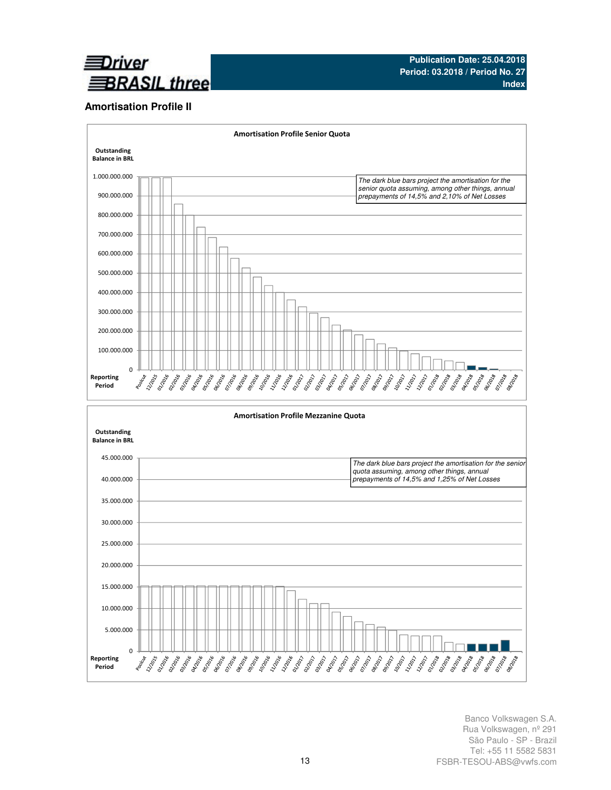

## **Amortisation Profile II**

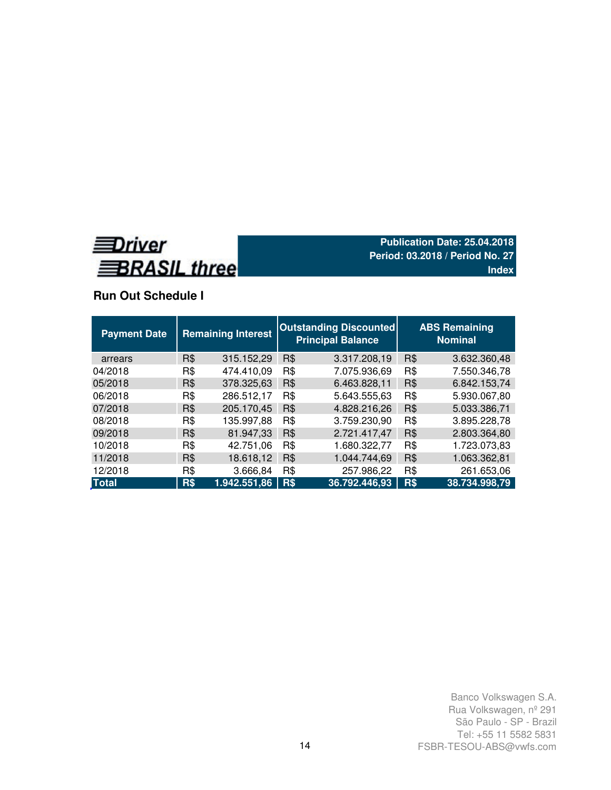

# **Run Out Schedule I**

| <b>Payment Date</b> | <b>Remaining Interest</b> |              | <b>Outstanding Discounted</b><br><b>Principal Balance</b> |               |     | <b>ABS Remaining</b><br><b>Nominal</b> |  |  |  |
|---------------------|---------------------------|--------------|-----------------------------------------------------------|---------------|-----|----------------------------------------|--|--|--|
| arrears             | R\$                       | 315.152,29   | R\$                                                       | 3.317.208,19  | R\$ | 3.632.360,48                           |  |  |  |
| 04/2018             | R\$                       | 474.410.09   | R\$                                                       | 7.075.936,69  | R\$ | 7.550.346,78                           |  |  |  |
| 05/2018             | R\$                       | 378.325,63   | R\$                                                       | 6.463.828,11  | R\$ | 6.842.153,74                           |  |  |  |
| 06/2018             | R\$                       | 286.512,17   | R\$                                                       | 5.643.555,63  | R\$ | 5.930.067,80                           |  |  |  |
| 07/2018             | R\$                       | 205.170,45   | R\$                                                       | 4.828.216,26  | R\$ | 5.033.386,71                           |  |  |  |
| 08/2018             | R\$                       | 135.997,88   | R\$                                                       | 3.759.230,90  | R\$ | 3.895.228,78                           |  |  |  |
| 09/2018             | R\$                       | 81.947,33    | R\$                                                       | 2.721.417,47  | R\$ | 2.803.364,80                           |  |  |  |
| 10/2018             | R\$                       | 42.751,06    | R\$                                                       | 1.680.322,77  | R\$ | 1.723.073,83                           |  |  |  |
| 11/2018             | R\$                       | 18.618,12    | R\$                                                       | 1.044.744,69  | R\$ | 1.063.362,81                           |  |  |  |
| 12/2018             | R\$                       | 3.666,84     | R\$                                                       | 257.986,22    | R\$ | 261.653,06                             |  |  |  |
| <b>Total</b>        | R\$                       | 1.942.551,86 | R\$                                                       | 36.792.446,93 | R\$ | 38.734.998,79                          |  |  |  |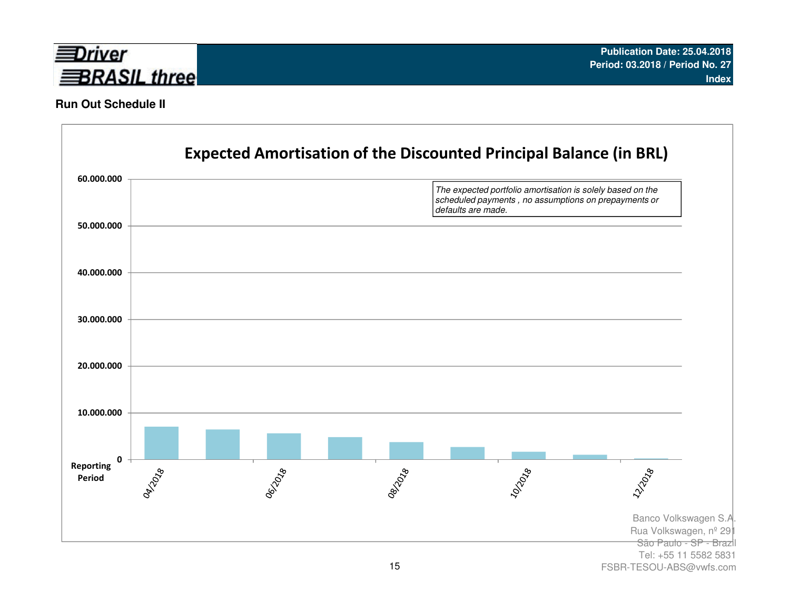

## **Run Out Schedule II**



FSBR-TESOU-ABS@vwfs.com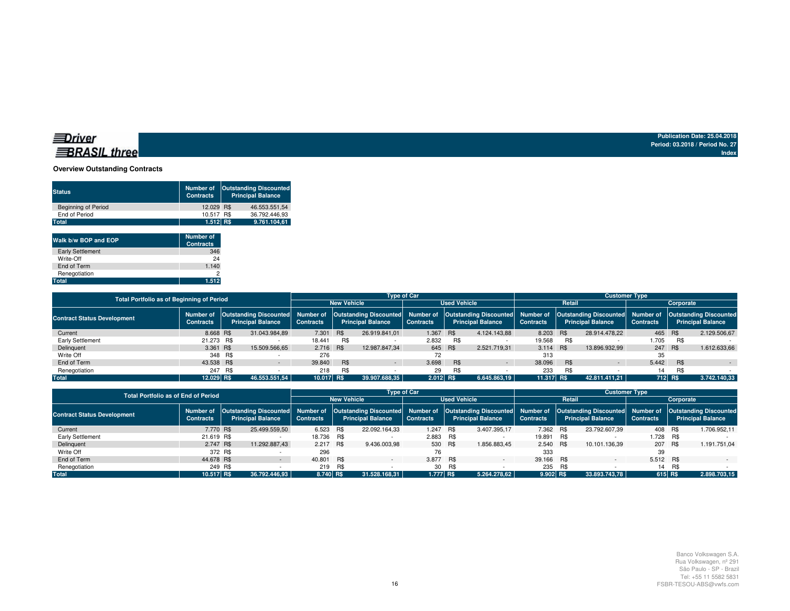### **Overview Outstanding Contracts**

| <b>Status</b>              | <b>Number of</b><br><b>Contracts</b> | <b>Outstanding Discounted</b><br><b>Principal Balance</b> |
|----------------------------|--------------------------------------|-----------------------------------------------------------|
| <b>Beginning of Period</b> | 12.029 R\$                           | 46.553.551.54                                             |
| End of Period              | 10.517 R\$                           | 36.792.446.93                                             |
| Total                      | 1.512 R\$                            | 9.761.104.61                                              |
|                            |                                      |                                                           |

| Walk b/w BOP and EOP    | <b>Number of</b><br><b>Contracts</b> |
|-------------------------|--------------------------------------|
| <b>Early Settlement</b> | 346                                  |
| Write-Off               | 24                                   |
| End of Term             | 1.140                                |
| Renegotiation           | 2                                    |
| <b>Total</b>            | 1.512                                |

| Total Portfolio as of Beginning of Period |                  |         |                                                                                                                                                                                                            | <b>Type of Car</b> |                    |                          |                     |            |                          | <b>Customer Type</b> |        |                          |                  |            |                          |  |
|-------------------------------------------|------------------|---------|------------------------------------------------------------------------------------------------------------------------------------------------------------------------------------------------------------|--------------------|--------------------|--------------------------|---------------------|------------|--------------------------|----------------------|--------|--------------------------|------------------|------------|--------------------------|--|
|                                           |                  |         |                                                                                                                                                                                                            |                    | <b>New Vehicle</b> |                          | <b>Used Vehicle</b> |            |                          |                      | Retail |                          | Corporate        |            |                          |  |
| <b>Contract Status Development</b>        | <b>Contracts</b> |         | Number of  Outstanding Discounted  Number of  Outstanding Discounted  Number of  Outstanding Discounted  Number of  Outstanding Discounted  Number of  Outstanding Discounted <br><b>Principal Balance</b> | <b>Contracts</b>   |                    | <b>Principal Balance</b> | <b>Contracts</b>    |            | <b>Principal Balance</b> | <b>Contracts</b>     |        | <b>Principal Balance</b> | <b>Contracts</b> |            | <b>Principal Balance</b> |  |
| Current                                   | 8.668 R\$        |         | 31.043.984.89                                                                                                                                                                                              | 7.301              | <b>R\$</b>         | 26.919.841.01            | 1.367 R\$           |            | 4.124.143.88             | 8.203 R\$            |        | 28.914.478.22            | 465 R\$          |            | 2.129.506.67             |  |
| Early Settlement                          | 21.273 R\$       |         |                                                                                                                                                                                                            | 18.441             | R\$                |                          | 2.832               | R\$        |                          | 19.568               | R\$    |                          | 1.705            | R\$        |                          |  |
| Delinquent                                | 3.361 R\$        |         | 15.509.566,65                                                                                                                                                                                              | 2.716 R\$          |                    | 12.987.847.34            | 645 R\$             |            | 2.521.719.31             | 3.114 R\$            |        | 13.896.932.99            | 247 R\$          |            | 1.612.633.66             |  |
| Write Off                                 |                  | 348 R\$ |                                                                                                                                                                                                            | 276                |                    |                          | 72                  |            |                          | 313                  |        |                          | 35               |            |                          |  |
| End of Term                               | 43.538 R\$       |         |                                                                                                                                                                                                            | 39.840             | <b>R\$</b>         | $\sim$                   | 3.698               | <b>R\$</b> | $\sim$                   | 38,096               | R\$    | $\overline{\phantom{a}}$ | 5.442            | <b>R\$</b> |                          |  |
| Renegotiation                             | 247              | R\$     |                                                                                                                                                                                                            | 218                | R\$                |                          | 29                  | R\$        |                          | 233                  | R\$    |                          | 14               | R\$        |                          |  |
| <b>Total</b>                              | 12.029 R\$       |         | 46.553.551.54                                                                                                                                                                                              | $10.017$ R\$       |                    | 39.907.688.35            | 2.012 R\$           |            | 6.645.863.19             | 11.317 RS            |        | 42.811.411.21            |                  | $712$ R\$  | 3.742.140,33             |  |

| <b>Total Portfolio as of End of Period</b> |                  |         | <b>Type of Car</b>       |                  | <b>Customer Type</b> |                          |                  |                     |                                                                                                                                                                                                                                               |                  |            |                          |                  |     |                          |  |  |
|--------------------------------------------|------------------|---------|--------------------------|------------------|----------------------|--------------------------|------------------|---------------------|-----------------------------------------------------------------------------------------------------------------------------------------------------------------------------------------------------------------------------------------------|------------------|------------|--------------------------|------------------|-----|--------------------------|--|--|
|                                            |                  |         |                          |                  | <b>New Vehicle</b>   |                          |                  | <b>Used Vehicle</b> |                                                                                                                                                                                                                                               |                  | Retail     |                          |                  |     | Corporate                |  |  |
| <b>Contract Status Development</b>         | <b>Contracts</b> |         | <b>Principal Balance</b> | <b>Contracts</b> |                      | <b>Principal Balance</b> | <b>Contracts</b> |                     | Number of  Outstanding Discounted  Number of  Outstanding Discounted  Number of  Outstanding Discounted  Number of  Outstanding Discounted  Number of  Outstanding Discounted  Number of  Outstanding Discounted <br><b>Principal Balance</b> | <b>Contracts</b> |            | <b>Principal Balance</b> | <b>Contracts</b> |     | <b>Principal Balance</b> |  |  |
| Current                                    | 7.770 R\$        |         | 25.499.559,50            | 6.523 R\$        |                      | 22.092.164.33            | 1.247            | R\$                 | 3.407.395.17                                                                                                                                                                                                                                  | 7.362 R\$        |            | 23.792.607.39            | 408 R\$          |     | 1.706.952,11             |  |  |
| Early Settlement                           | 21.619 R\$       |         |                          | 18.736 R\$       |                      |                          | 2.883 R\$        |                     |                                                                                                                                                                                                                                               | 19.891 R\$       |            |                          | 1.728 R\$        |     |                          |  |  |
| Delinquent                                 | 2.747 R\$        |         | 11.292.887.43            | 2.217            | <b>R\$</b>           | 9.436.003.98             | 530 R\$          |                     | 1.856.883.45                                                                                                                                                                                                                                  | 2.540 R\$        |            | 10.101.136.39            | 207 R\$          |     | 1.191.751.04             |  |  |
| Write Off                                  |                  | 372 R\$ |                          | 296              |                      |                          | 76               |                     |                                                                                                                                                                                                                                               | 333              |            |                          | 39               |     |                          |  |  |
| End of Term                                | 44.678 R\$       |         |                          | 40.801           | <b>R\$</b>           |                          | 3.877 R\$        |                     | $\overline{\phantom{0}}$                                                                                                                                                                                                                      | 39.166 R\$       |            |                          | 5.512 R\$        |     |                          |  |  |
| Renegotiation                              |                  | 249 R\$ |                          | 219              | R\$                  |                          | 30               | R\$                 |                                                                                                                                                                                                                                               | 235              | <b>R\$</b> |                          | 14               | R\$ |                          |  |  |
| <b>Total</b>                               | 10.517 R\$       |         | 36.792.446.93            | 8.740 R\$        |                      | 31.528.168.31            | 1.777 R\$        |                     | 5.264.278.62                                                                                                                                                                                                                                  | 9.902 R\$        |            | 33.893.743.78            | 615 RS           |     | 2.898.703.15             |  |  |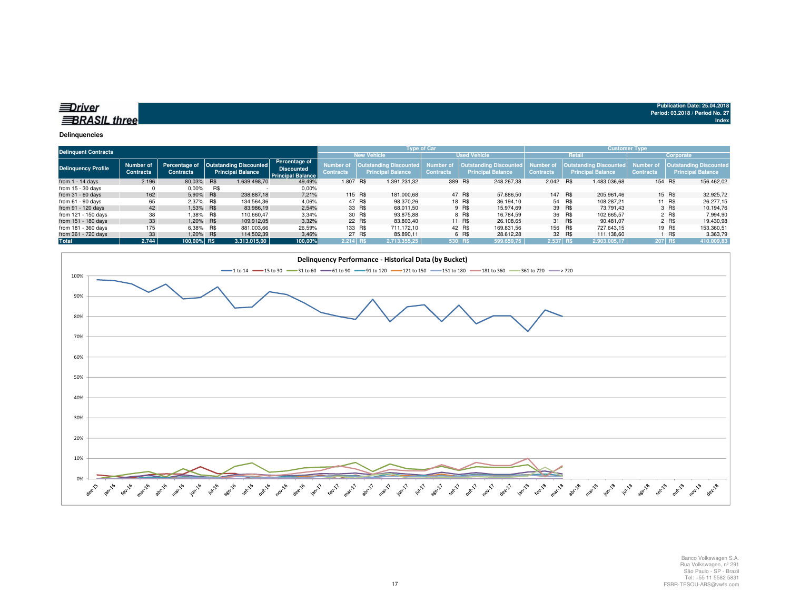| ≡Driver             |  |
|---------------------|--|
| <b>BRASIL three</b> |  |

#### **Delinquencies**

| <b>Delinquent Contracts</b> |                               |                                   |            |                                                    |                                                                       | <b>Type of Car</b>                        |         |                                                            |                              |        |                                                    | <b>Customer Type</b>          |        |                                                           |                                      |        |                                                            |
|-----------------------------|-------------------------------|-----------------------------------|------------|----------------------------------------------------|-----------------------------------------------------------------------|-------------------------------------------|---------|------------------------------------------------------------|------------------------------|--------|----------------------------------------------------|-------------------------------|--------|-----------------------------------------------------------|--------------------------------------|--------|------------------------------------------------------------|
|                             |                               |                                   |            |                                                    |                                                                       | <b>New Vehicle</b><br><b>Used Vehicle</b> |         |                                                            |                              |        | Retail<br>Corporate                                |                               |        |                                                           |                                      |        |                                                            |
| <b>Delinquency Profile</b>  | Number of<br><b>Contracts</b> | Percentage of<br><b>Contracts</b> |            | <b>Outstanding Discounted</b><br>Principal Balance | <b>Percentage of</b><br><b>Discounted</b><br><b>Principal Balance</b> | Number o<br><b>Contracts</b>              |         | <b>Outstanding Discounted,</b><br><b>Principal Balance</b> | Number o<br><b>Contracts</b> |        | Outstanding Discounted<br><b>Principal Balance</b> | Number of<br><b>Contracts</b> |        | <b>Outstanding Discounted</b><br><b>Principal Balance</b> | <b>Number of</b><br><b>Contracts</b> |        | <b>Outstanding Discounted,</b><br><b>Principal Balance</b> |
| from $1 - 14$ days          | 2.196                         | 80,03%                            | <b>R\$</b> | 1.639.498.70                                       | 49,49%                                                                | 1.807 R\$                                 |         | 1.391.231.32                                               | 389 R\$                      |        | 248.267,38                                         | 2.042 R\$                     |        | 1.483.036.68                                              | 154 R\$                              |        | 156.462,02                                                 |
| from $15 - 30$ days         |                               | $0.00\%$                          | R\$        |                                                    | 0.00%                                                                 |                                           |         |                                                            |                              |        |                                                    |                               |        |                                                           |                                      |        |                                                            |
| from $31 - 60$ days         | 162                           | 5.90%                             | R\$        | 238,887.18                                         | 7,21%                                                                 |                                           | 115 R\$ | 181.000.68                                                 |                              | 47 R\$ | 57.886.50                                          | 147 R\$                       |        | 205.961.46                                                |                                      | 15 R\$ | 32.925,72                                                  |
| from $61 - 90$ days         | 65                            | 2.37% R\$                         |            | 134.564.36                                         | 4,06%                                                                 |                                           | 47 R\$  | 98.370.26                                                  |                              | 18 R\$ | 36.194.10                                          |                               | 54 R\$ | 108.287.21                                                |                                      | 11 R\$ | 26.277.15                                                  |
| from 91 - 120 days          | 42                            | 1.53% R\$                         |            | 83.986,19                                          | 2,54%                                                                 |                                           | 33 R\$  | 68.011.50                                                  |                              | 9 R\$  | 15.974.69                                          |                               | 39 R\$ | 73.791.43                                                 |                                      | 3 R\$  | 10.194.76                                                  |
| from 121 - 150 days         | 38                            |                                   | 1,38% R\$  | 110.660.47                                         | 3,34%                                                                 |                                           | 30 R\$  | 93.875.88                                                  |                              | 8 R\$  | 16.784.59                                          |                               | 36 R\$ | 102.665.57                                                |                                      | 2 R\$  | 7.994,90                                                   |
| from 151 - 180 days         | 33                            | 1.20% R\$                         |            | 109.912.05                                         | 3,32%                                                                 |                                           | 22 R\$  | 83.803.40                                                  |                              | 11 R\$ | 26.108.65                                          |                               | 31 R\$ | 90.481.07                                                 |                                      | 2 R\$  | 19.430.98                                                  |
| from 181 - 360 days         | 175                           | 6.38%                             | R\$        | 881.003.66                                         | 26,59%                                                                |                                           | 133 R\$ | 711.172.10                                                 |                              | 42 R\$ | 169.831.56                                         | 156 R\$                       |        | 727.643.15                                                |                                      | 19 R\$ | 153.360.51                                                 |
| from 361 - 720 days         | 33                            | 1,20% R\$                         |            | 114.502.39                                         | 3,46%                                                                 |                                           | 27 R\$  | 85.890.11                                                  |                              | 6 R\$  | 28.612.28                                          |                               | 32 R\$ | 111.138.60                                                |                                      | R\$    | 3.363,79                                                   |
| Total                       | 2.744                         | 100.00% R\$                       |            | 3.313.015.00                                       | 100,00%                                                               | $2.214$ RS                                |         | 2.713.355.25                                               | 530 R\$                      |        | 599.659.75                                         | 2.537 RS                      |        | 2.903.005.17                                              | <b>207 RS</b>                        |        | 410.009,83                                                 |

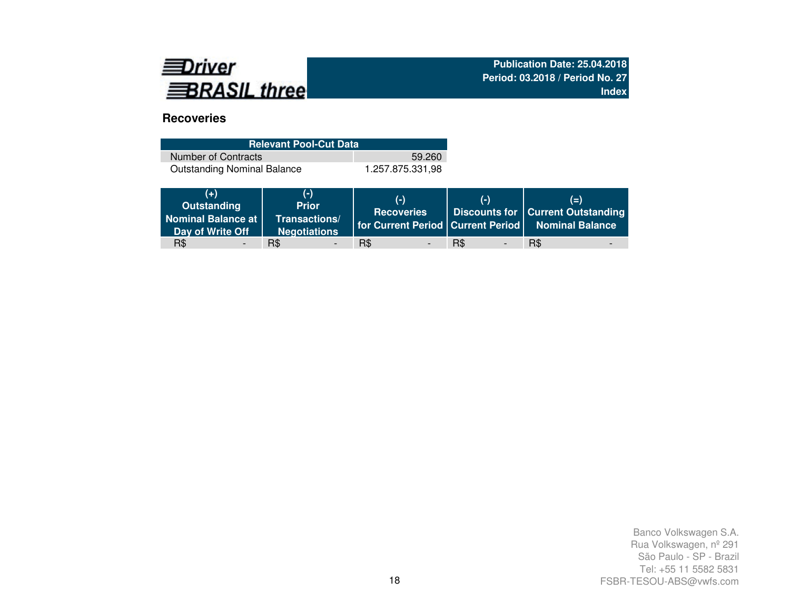

# **Recoveries**

| <b>Relevant Pool-Cut Data</b>      |                  |  |  |  |  |  |  |  |
|------------------------------------|------------------|--|--|--|--|--|--|--|
| Number of Contracts                | 59.260           |  |  |  |  |  |  |  |
| <b>Outstanding Nominal Balance</b> | 1.257.875.331,98 |  |  |  |  |  |  |  |

| $(+)$<br>Outstanding<br>Nominal Balance at<br>Day of Write Off | (-)<br><b>Prior</b><br>Transactions/<br><b>Negotiations</b> | $(-)$<br><b>Recoveries</b> | $(-)$                           | $(=\)$<br><b>Discounts for   Current Outstanding</b><br>   for Current Period   Current Period   Nominal Balance |
|----------------------------------------------------------------|-------------------------------------------------------------|----------------------------|---------------------------------|------------------------------------------------------------------------------------------------------------------|
| R\$<br>$\overline{\phantom{0}}$                                | R\$                                                         | R\$                        | R\$<br>$\overline{\phantom{a}}$ | R\$                                                                                                              |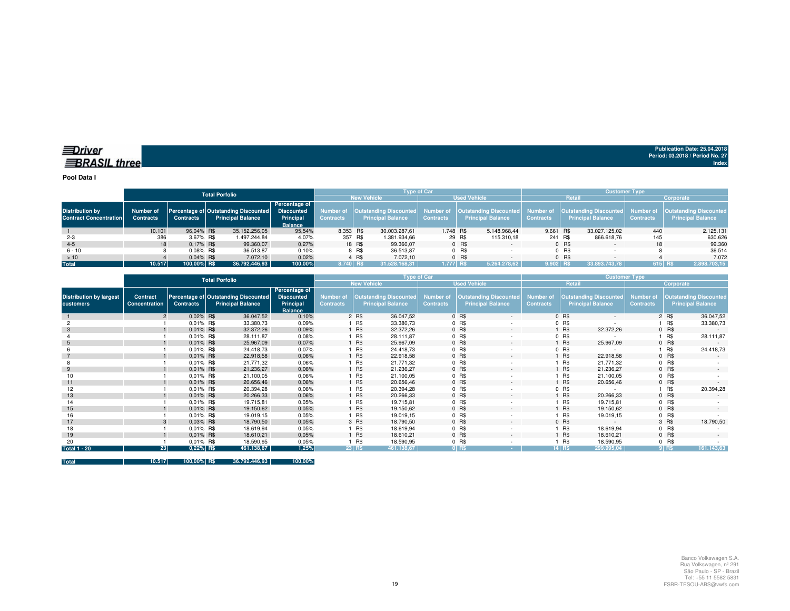**Pool Data I**

|                                                         | <b>Total Porfolio</b>         |                  |  |                                                                         |                                                                   | <b>Type of Car</b>                        |        |                                                                     |                  |        |                                                      | <b>Customer Type</b>          |           |                                                           |                               |                                                           |  |  |
|---------------------------------------------------------|-------------------------------|------------------|--|-------------------------------------------------------------------------|-------------------------------------------------------------------|-------------------------------------------|--------|---------------------------------------------------------------------|------------------|--------|------------------------------------------------------|-------------------------------|-----------|-----------------------------------------------------------|-------------------------------|-----------------------------------------------------------|--|--|
|                                                         |                               |                  |  |                                                                         |                                                                   | <b>New Vehicle</b><br><b>Used Vehicle</b> |        |                                                                     |                  |        | Retail                                               |                               | Corporate |                                                           |                               |                                                           |  |  |
| <b>Distribution by</b><br><b>Contract Concentration</b> | Number of<br><b>Contracts</b> | <b>Contracts</b> |  | <b>Percentage of Outstanding Discounted</b><br><b>Principal Balance</b> | Percentage of<br><b>Discounted</b><br>Principal<br><b>Balance</b> | Number of<br>Contracts                    |        | <b>Outstanding Discounted</b> Number of<br><b>Principal Balance</b> | <b>Contracts</b> |        | Outstanding Discounted  <br><b>Principal Balance</b> | Number of<br><b>Contracts</b> |           | <b>Outstanding Discounted</b><br><b>Principal Balance</b> | Number of<br><b>Contracts</b> | <b>Outstanding Discounted</b><br><b>Principal Balance</b> |  |  |
|                                                         | 10.101                        | 96.04% R\$       |  | 35.152.256,05                                                           | 95,54%                                                            | 8.353 R\$                                 |        | 30.003.287,61                                                       | 1.748 R\$        |        | 5.148.968.44                                         | 9.661 R\$                     |           | 33.027.125.02                                             | 440                           | 2.125.131                                                 |  |  |
| $2 - 3$                                                 | 386                           | 3.67% R\$        |  | 1.497.244.84                                                            | 4,07%                                                             | 357 R\$                                   |        | 1.381.934,66                                                        |                  | 29 R\$ | 115.310,18                                           |                               | 241 R\$   | 866.618,76                                                | 145                           | 630.626                                                   |  |  |
| $4 - 5$                                                 | 18                            | 0.17% R\$        |  | 99.360.07                                                               | 0,27%                                                             |                                           | 18 R\$ | 99.360.07                                                           |                  | 0 R\$  |                                                      |                               | 0 R\$     |                                                           | 18                            | 99.360                                                    |  |  |
| $6 - 10$                                                |                               | $0.08\%$ R\$     |  | 36.513.87                                                               | 0,10%                                                             |                                           | 8 R\$  | 36.513.87                                                           |                  | 0 R\$  |                                                      |                               | $0$ R\$   |                                                           |                               | 36.514                                                    |  |  |
| >10                                                     |                               | $0.04\%$ R\$     |  | 7.072.10                                                                | 0,02%                                                             |                                           | 4 R\$  | 7.072.10                                                            |                  | 0 R\$  |                                                      |                               | $0$ R\$   | $\sim$                                                    |                               | 7.072                                                     |  |  |
| <b>Total</b>                                            | 10.517                        | 100,00% R\$      |  | 36.792.446,93                                                           | 100,00%                                                           | 8.740 RS                                  |        | 31.528.168.31                                                       | $1.777$ R\$      |        | 5.264.278.62                                         | $9.902$ RS                    |           | 33.893.743.78                                             |                               | 615 R\$<br>2.898.703,15                                   |  |  |

|                                             | <b>Total Porfolio</b>     |                  |                                                                  |                                                                   |                                      | Type of Car |                                                           |                                      |         |                                                           |                                      |         | <b>Customer Type</b>                                      |                                      |           |                                                           |  |  |
|---------------------------------------------|---------------------------|------------------|------------------------------------------------------------------|-------------------------------------------------------------------|--------------------------------------|-------------|-----------------------------------------------------------|--------------------------------------|---------|-----------------------------------------------------------|--------------------------------------|---------|-----------------------------------------------------------|--------------------------------------|-----------|-----------------------------------------------------------|--|--|
|                                             |                           |                  |                                                                  |                                                                   |                                      |             | <b>New Vehicle</b>                                        |                                      |         | <b>Used Vehicle</b>                                       |                                      | Retail  |                                                           |                                      | Corporate |                                                           |  |  |
| <b>Distribution by largest</b><br>customers | Contract<br>Concentration | <b>Contracts</b> | Percentage of Outstanding Discounted<br><b>Principal Balance</b> | Percentage of<br><b>Discounted</b><br>Principal<br><b>Balance</b> | <b>Number of</b><br><b>Contracts</b> |             | <b>Outstanding Discounted</b><br><b>Principal Balance</b> | <b>Number of</b><br><b>Contracts</b> |         | <b>Outstanding Discounted</b><br><b>Principal Balance</b> | <b>Number of</b><br><b>Contracts</b> |         | <b>Outstanding Discounted</b><br><b>Principal Balance</b> | <b>Number of</b><br><b>Contracts</b> |           | <b>Outstanding Discounted</b><br><b>Principal Balance</b> |  |  |
|                                             |                           | 0.02% R\$        | 36.047,52                                                        | 0,10%                                                             |                                      | 2 R\$       | 36.047,52                                                 |                                      | $0$ R\$ | $\sim$                                                    |                                      | 0 R\$   | A.                                                        |                                      | 2 R\$     | 36.047,52                                                 |  |  |
|                                             |                           | 0.01% R\$        | 33.380,73                                                        | 0,09%                                                             |                                      | R\$         | 33.380,73                                                 |                                      | $0$ R\$ |                                                           |                                      | $0$ R\$ |                                                           |                                      | 1 R\$     | 33.380,73                                                 |  |  |
|                                             |                           | 0.01% R\$        | 32.372,26                                                        | 0,09%                                                             |                                      | <b>R\$</b>  | 32.372,26                                                 |                                      | 0 R\$   | $\sim$                                                    |                                      | R\$     | 32.372,26                                                 |                                      | 0 R\$     |                                                           |  |  |
|                                             |                           | 0.01% R\$        | 28.111,87                                                        | 0,08%                                                             |                                      | R\$         | 28.111,87                                                 |                                      | $0$ R\$ | ٠                                                         |                                      | 0 R\$   |                                                           |                                      | 1 R\$     | 28.111,87                                                 |  |  |
| 5                                           |                           | 0.01% R\$        | 25.967,09                                                        | 0,07%                                                             |                                      | <b>R\$</b>  | 25.967,09                                                 |                                      | 0 R\$   | $\sim$                                                    |                                      | R\$     | 25.967,09                                                 |                                      | $0$ R\$   |                                                           |  |  |
|                                             |                           | 0.01% R\$        | 24.418,73                                                        | 0,07%                                                             |                                      | R\$         | 24.418,73                                                 |                                      | $0$ R\$ |                                                           |                                      | 0 R\$   |                                                           |                                      | 1 R\$     | 24.418,73                                                 |  |  |
|                                             |                           | 0.01% R\$        | 22.918,58                                                        | 0,06%                                                             |                                      | <b>R\$</b>  | 22.918,58                                                 |                                      | 0 R\$   | $\sim$                                                    |                                      | R\$     | 22.918,58                                                 |                                      | $0$ R\$   |                                                           |  |  |
|                                             |                           | 0.01% R\$        | 21.771,32                                                        | 0,06%                                                             |                                      | R\$         | 21.771,32                                                 |                                      | $0$ R\$ |                                                           |                                      | R\$     | 21.771,32                                                 |                                      | $0$ R\$   |                                                           |  |  |
| 9                                           |                           | 0,01% R\$        | 21.236,27                                                        | 0,06%                                                             |                                      | <b>R\$</b>  | 21.236,27                                                 |                                      | $0$ R\$ | $\sim$                                                    |                                      | R\$     | 21.236,27                                                 |                                      | $0$ R\$   |                                                           |  |  |
| 10                                          |                           | 0.01% R\$        | 21.100,05                                                        | 0,06%                                                             |                                      | <b>R\$</b>  | 21.100,05                                                 |                                      | 0 R\$   | $\sim$                                                    |                                      | R\$     | 21.100,05                                                 |                                      | $0$ R\$   |                                                           |  |  |
| 11                                          |                           | 0.01% R\$        | 20.656,46                                                        | 0,06%                                                             |                                      | <b>R\$</b>  | 20.656,46                                                 |                                      | 0 R\$   | $\sim$                                                    |                                      | R\$     | 20.656,46                                                 |                                      | $0$ R\$   |                                                           |  |  |
| 12                                          |                           | 0.01% R\$        | 20.394,28                                                        | 0,06%                                                             |                                      | R\$         | 20.394,28                                                 |                                      | $0$ R\$ |                                                           |                                      | 0 R\$   |                                                           |                                      | 1 R\$     | 20.394,28                                                 |  |  |
| 13                                          |                           | 0.01% R\$        | 20.266,33                                                        | 0,06%                                                             |                                      | <b>R\$</b>  | 20.266,33                                                 |                                      | 0 R\$   | $\sim$                                                    |                                      | R\$     | 20.266,33                                                 |                                      | $0$ R\$   |                                                           |  |  |
| 14                                          |                           | 0.01% R\$        | 19.715,81                                                        | 0,05%                                                             |                                      | R\$         | 19.715,81                                                 |                                      | 0 R\$   | ٠                                                         |                                      | R\$     | 19.715,81                                                 |                                      | $0$ R\$   |                                                           |  |  |
| 15                                          |                           | 0.01% R\$        | 19.150,62                                                        | 0,05%                                                             |                                      | <b>R\$</b>  | 19.150,62                                                 |                                      | 0 R\$   | $\sim$                                                    |                                      | R\$     | 19.150,62                                                 |                                      | $0$ R\$   | $\overline{a}$                                            |  |  |
| 16                                          |                           | 0.01% R\$        | 19.019,15                                                        | 0,05%                                                             |                                      | R\$         | 19.019,15                                                 |                                      | $0$ R\$ |                                                           |                                      | R\$     | 19.019,15                                                 |                                      | $0$ R\$   |                                                           |  |  |
| 17                                          |                           | 0.03% R\$        | 18.790,50                                                        | 0,05%                                                             |                                      | 3 R\$       | 18.790,50                                                 |                                      | 0 R\$   | $\sim$                                                    |                                      | 0 R\$   | $\sim$                                                    |                                      | 3 R\$     | 18.790,50                                                 |  |  |
| 18                                          |                           | $0.01\%$ R\$     | 18.619,94                                                        | 0.05%                                                             |                                      | R\$         | 18.619,94                                                 |                                      | 0 R\$   | $\overline{\phantom{a}}$                                  |                                      | R\$     | 18.619,94                                                 |                                      | $0$ R\$   |                                                           |  |  |
| 19                                          |                           | $0.01\%$ R\$     | 18.610,21                                                        | 0,05%                                                             |                                      | <b>R\$</b>  | 18.610,21                                                 |                                      | 0 R\$   | $\sim$                                                    |                                      | R\$     | 18.610,21                                                 |                                      | 0 R\$     |                                                           |  |  |
| 20                                          |                           | 0.01% R\$        | 18.590,95                                                        | 0,05%                                                             |                                      | <b>R\$</b>  | 18.590,95                                                 |                                      | $0$ R\$ |                                                           |                                      | R\$     | 18.590,95                                                 |                                      | $0$ R\$   |                                                           |  |  |
| <b>Total 1 - 20</b>                         | 23                        | $0,22%$ R\$      | 461.138,67                                                       | 1,25%                                                             |                                      | 23 R\$      | 461.138,67                                                |                                      | $0$ RS  | <b>Contract</b>                                           |                                      | 14 R\$  | 299.995,04                                                |                                      | $9$ R\$   | 161.143,63                                                |  |  |

**Total 10.517 100,00% R\$ 36.792.446,93 100,00%**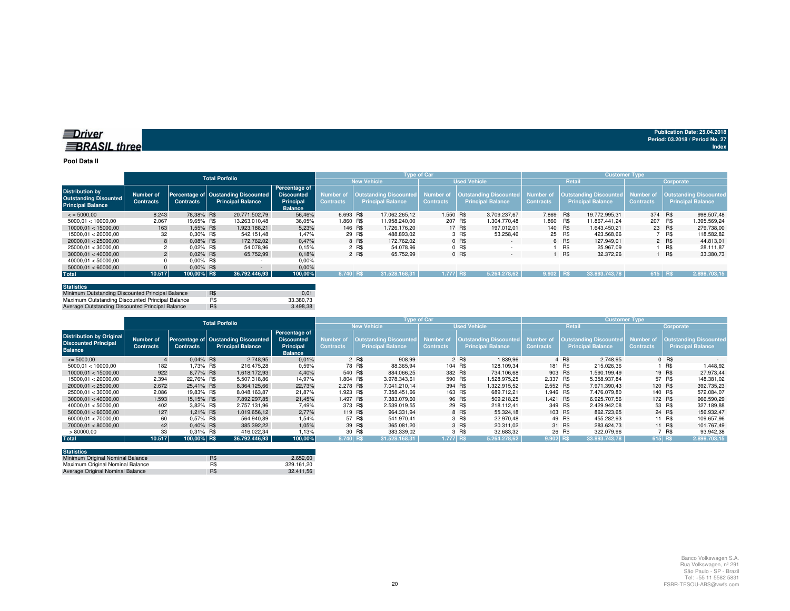#### **Pool Data II**

|                                                                                    |                               |                  | <b>Total Porfolio</b>                                           |                                                                   | <b>Type of Car</b>                   |                    |                                                    |                  |                     |                                                                            | <b>Customer Type</b> |            |                                                                     |                  |            |                                                            |  |
|------------------------------------------------------------------------------------|-------------------------------|------------------|-----------------------------------------------------------------|-------------------------------------------------------------------|--------------------------------------|--------------------|----------------------------------------------------|------------------|---------------------|----------------------------------------------------------------------------|----------------------|------------|---------------------------------------------------------------------|------------------|------------|------------------------------------------------------------|--|
|                                                                                    |                               |                  |                                                                 |                                                                   |                                      | <b>New Vehicle</b> |                                                    |                  | <b>Used Vehicle</b> |                                                                            | Retail               |            |                                                                     | Corporate        |            |                                                            |  |
| <b>Distribution by</b><br><b>Outstanding Disounted</b><br><b>Principal Balance</b> | Number of<br><b>Contracts</b> | <b>Contracts</b> | Percentage of Oustanding Discounted<br><b>Principal Balance</b> | Percentage of<br><b>Discounted</b><br>Principal<br><b>Balance</b> | <b>Number of</b><br><b>Contracts</b> |                    | Outstanding Discounted<br><b>Principal Balance</b> | <b>Contracts</b> |                     | Number of   Outstanding Discounted   Number of<br><b>Principal Balance</b> | <b>Contracts</b>     |            | <b>Outstanding Discounted</b> Number of<br><b>Principal Balance</b> | <b>Contracts</b> |            | <b>Outstanding Discounted,</b><br><b>Principal Balance</b> |  |
| $\le$ = 5000.00                                                                    | 8.243                         | 78.38% R\$       | 20,771,502.79                                                   | 56.46%                                                            | 6.693 R\$                            |                    | 17.062.265.12                                      | 1.550 R\$        |                     | 3.709.237.67                                                               | 7.869 R\$            |            | 19.772.995.31                                                       | 374 R\$          |            | 998.507.48                                                 |  |
| 5000.01 < 10000.00                                                                 | 2.067                         | 19.65% R\$       | 13.263.010.48                                                   | 36,05%                                                            | 1.860 R\$                            |                    | 11.958.240.00                                      | 207 R\$          |                     | 1.304.770.48                                                               | 1.860                | <b>R\$</b> | 11.867.441.24                                                       | 207              | R\$        | 1.395.569.24                                               |  |
| 10000.01 < 15000.00                                                                | 163                           | 1.55% R\$        | 1.923.188.21                                                    | 5,23%                                                             |                                      | 146 R\$            | 1.726.176.20                                       |                  | 17 R\$              | 197.012.01                                                                 | 140 R\$              |            | 1.643.450.21                                                        | 23 R\$           |            | 279.738,00                                                 |  |
| 15000.01 < 20000.00                                                                | 32                            | 0.30% R\$        | 542.151.48                                                      | 1,47%                                                             |                                      | 29 R\$             | 488.893.02                                         |                  | 3 R\$               | 53.258.46                                                                  |                      | 25 R\$     | 423.568.66                                                          |                  | R\$        | 118,582.82                                                 |  |
| 20000.01 < 25000.00                                                                | 8                             | $0.08\%$ R\$     | 172,762.02                                                      | 0.47%                                                             |                                      | 8 R\$              | 172.762.02                                         |                  | 0 R\$               | $\sim$                                                                     |                      | 6 R\$      | 127.949.01                                                          |                  | 2 R\$      | 44.813.01                                                  |  |
| 25000.01 < 30000.00                                                                |                               | 0.02% R\$        | 54.078.96                                                       | 0.15%                                                             |                                      | 2 R\$              | 54.078.96                                          |                  | $0$ R\$             |                                                                            |                      | R\$        | 25.967.09                                                           |                  | R\$        | 28.111.87                                                  |  |
| 30000.01 < 40000.00                                                                | 2                             | $0.02\%$ R\$     | 65.752.99                                                       | 0.18%                                                             |                                      | 2 R\$              | 65.752,99                                          |                  | 0 R\$               | $\overline{\phantom{a}}$                                                   |                      | R\$        | 32,372.26                                                           |                  | <b>R\$</b> | 33.380,73                                                  |  |
| 40000.01 < 50000.00                                                                |                               | $0.00\%$ R\$     |                                                                 | 0,00%                                                             |                                      |                    |                                                    |                  |                     |                                                                            |                      |            |                                                                     |                  |            |                                                            |  |
| 50000.01 < 60000.00                                                                |                               | $0.00\%$ R\$     |                                                                 | 0.00%                                                             |                                      |                    |                                                    |                  |                     |                                                                            |                      |            |                                                                     |                  |            |                                                            |  |
| <b>Total</b>                                                                       | 10.517                        | 100,00% R\$      | 36.792.446.93                                                   | 100,00%                                                           | 8.740 RS                             |                    | 31.528.168.31                                      | 1.777 RS         |                     | 5.264.278.62                                                               | $9.902$ RS           |            | 33.893.743.78                                                       | 615 RS           |            | 2.898.703.15                                               |  |

| <b>Statistics</b>                                |     |           |
|--------------------------------------------------|-----|-----------|
| Minimum Outstanding Discounted Principal Balance | R\$ | 0.01      |
| Maximum Outstanding Discounted Principal Balance | R\$ | 33.380.73 |
| Average Outstanding Discounted Principal Balance | R\$ | 3.498.38  |

|                                                                                  | <b>Total Porfolio</b>         |                  |                                                          |                                                                   |                               |                                                    | Type of Car                          |                                                           | <b>Customer Type</b>          |                                                           |                               |                                                            |  |  |
|----------------------------------------------------------------------------------|-------------------------------|------------------|----------------------------------------------------------|-------------------------------------------------------------------|-------------------------------|----------------------------------------------------|--------------------------------------|-----------------------------------------------------------|-------------------------------|-----------------------------------------------------------|-------------------------------|------------------------------------------------------------|--|--|
|                                                                                  |                               |                  |                                                          |                                                                   | <b>New Vehicle</b>            |                                                    |                                      | <b>Used Vehicle</b>                                       |                               | Retail                                                    |                               | Corporate                                                  |  |  |
| <b>Distribution by Original</b><br><b>Discounted Principal</b><br><b>Balance</b> | Number of<br><b>Contracts</b> | <b>Contracts</b> | Percentage of Oustanding Discounted<br>Principal Balance | Percentage of<br><b>Discounted</b><br>Principal<br><b>Balance</b> | Number of<br><b>Contracts</b> | Outstanding Discounted<br><b>Principal Balance</b> | <b>Number of</b><br><b>Contracts</b> | <b>Outstanding Discounted</b><br><b>Principal Balance</b> | Number of<br><b>Contracts</b> | <b>Outstanding Discounted</b><br><b>Principal Balance</b> | Number of<br><b>Contracts</b> | <b>Outstanding Discounted,</b><br><b>Principal Balance</b> |  |  |
| $\leq 5000,00$                                                                   |                               | $0.04\%$ R\$     | 2.748.95                                                 | 0.01%                                                             |                               | 2 R\$<br>908.99                                    |                                      | 2 R\$<br>1.839.96                                         |                               | 4 R\$<br>2.748.95                                         |                               | $0$ R\$                                                    |  |  |
| 5000.01 < 10000.00                                                               | 182                           | 1.73% R\$        | 216.475.28                                               | 0,59%                                                             |                               | 78 R\$<br>88.365.94                                | 104 R\$                              | 128.109.34                                                | 181 R\$                       | 215.026.36                                                |                               | R\$<br>1.448,92                                            |  |  |
| 10000.01 < 15000.00                                                              | 922                           | 8.77% R\$        | 1.618.172.93                                             | 4.40%                                                             | 540 R\$                       | 884.066.25                                         | 382 R\$                              | 734.106.68                                                | 903 R\$                       | 1.590.199.49                                              | 19 R\$                        | 27.973.44                                                  |  |  |
| 15000.01 < 20000.00                                                              | 2.394                         | 22.76% R\$       | 5.507.318.86                                             | 14.97%                                                            | 1.804 R\$                     | 3.978.343.61                                       | 590 R\$                              | 1.528.975.25                                              | 2.337 R\$                     | 5.358.937.84                                              |                               | 57 R\$<br>148.381,02                                       |  |  |
| 20000.01 < 25000.00                                                              | 2.672                         | 25.41% R\$       | 8.364.125.66                                             | 22,73%                                                            | 2.278 R\$                     | 7.041.210.14                                       | 394 R\$                              | 1.322.915.52                                              | 2.552 R\$                     | 7.971.390.43                                              | 120 R\$                       | 392.735,23                                                 |  |  |
| 25000.01 < 30000.00                                                              | 2.086                         | 19.83% R\$       | 8.048.163.87                                             | 21.87%                                                            | 1.923 R\$                     | 7.358.451.66                                       | 163 R\$                              | 689.712.21                                                | 1.946 R\$                     | 7.476.079.80                                              | 140 R\$                       | 572.084,07                                                 |  |  |
| 30000.01 < 40000.00                                                              | 1.593                         | 15.15% R\$       | 7.892.297.85                                             | 21.45%                                                            | 1.497 R\$                     | 7.383.079.60                                       |                                      | 96 R\$<br>509.218.25                                      | 1.421 R\$                     | 6.925.707.56                                              | 172 R\$                       | 966.590,29                                                 |  |  |
| 40000.01 < 50000.00                                                              | 402                           | 3.82% R\$        | 2.757.131.96                                             | 7,49%                                                             | 373 R\$                       | 2.539.019.55                                       |                                      | 29 R\$<br>218.112.41                                      | 349 R\$                       | 2.429.942.08                                              |                               | 53 R\$<br>327.189.88                                       |  |  |
| 50000.01 < 60000.00                                                              | 127                           | 1.21% R\$        | 1.019.656.12                                             | 2.77%                                                             | 119 R\$                       | 964.331.94                                         |                                      | 8 R\$<br>55.324.18                                        | 103 R\$                       | 862.723.65                                                |                               | 24 R\$<br>156.932,47                                       |  |  |
| 60000.01 < 70000.00                                                              | 60                            | 0,57% R\$        | 564.940,89                                               | 1,54%                                                             |                               | 57 R\$<br>541.970.41                               |                                      | 3 R\$<br>22.970.48                                        |                               | 49 R\$<br>455.282.93                                      |                               | 11 R\$<br>109.657.96                                       |  |  |
| 70000.01 < 80000.00                                                              | 42                            | $0.40\%$ R\$     | 385.392.22                                               | 1.05%                                                             |                               | 39 R\$<br>365.081.20                               |                                      | 3 R\$<br>20.311.02                                        |                               | 31 R\$<br>283.624.73                                      |                               | 11 R\$<br>101.767.49                                       |  |  |
| >80000,00                                                                        | 33                            | 0.31% R\$        | 416.022.34                                               | 1.13%                                                             |                               | 30 R\$<br>383.339,02                               |                                      | 3 R\$<br>32.683.32                                        |                               | 26 R\$<br>322.079.96                                      |                               | 7 R\$<br>93.942,38                                         |  |  |
| <b>Total</b>                                                                     | 10.517                        | 100,00% R\$      | 36.792.446,93                                            | 100,00%                                                           | 8.740 R\$                     | 31.528.168,31                                      | 1.777 RS                             | 5.264.278,62                                              | 9.902 R\$                     | 33.893.743,78                                             | 615 R\$                       | 2.898.703,15                                               |  |  |

| <b>Statistics</b>                |     |            |
|----------------------------------|-----|------------|
| Minimum Original Nominal Balance | R\$ | 2.652.60   |
| Maximum Original Nominal Balance | R\$ | 329.161.20 |
| Average Original Nominal Balance | R\$ | 32.411.56  |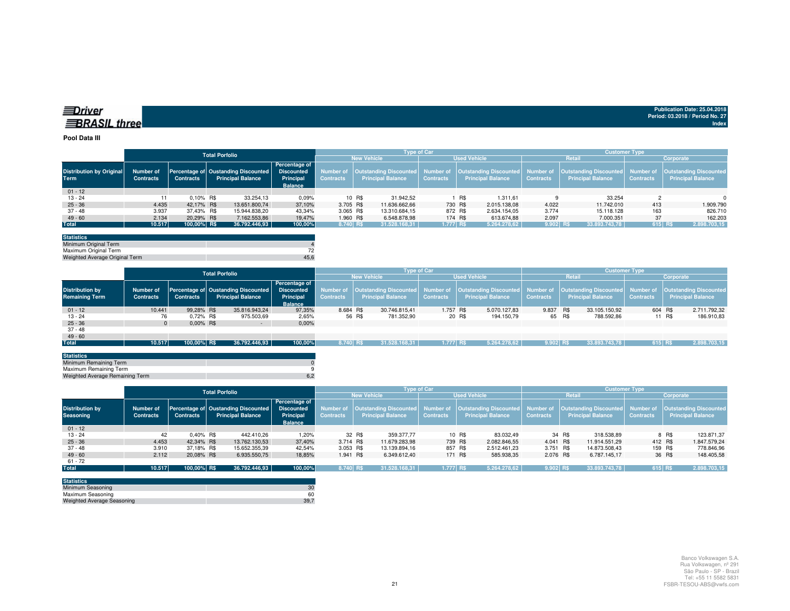| ⊒Driver             |  |
|---------------------|--|
| <b>BRASIL</b> three |  |

#### **Pool Data III**

|                                                |                                      |                  | <b>Total Porfolio</b>                                                      |                            |                  |                          | <b>Type of Car</b> |                          |                  | <b>Customer Type</b>     |                  |                                                                                                                                                                         |  |  |
|------------------------------------------------|--------------------------------------|------------------|----------------------------------------------------------------------------|----------------------------|------------------|--------------------------|--------------------|--------------------------|------------------|--------------------------|------------------|-------------------------------------------------------------------------------------------------------------------------------------------------------------------------|--|--|
|                                                |                                      |                  |                                                                            |                            |                  | <b>New Vehicle</b>       |                    | <b>Used Vehicle</b>      |                  | <b>Retail</b>            |                  | Corporate                                                                                                                                                               |  |  |
| <b>Distribution by Original</b><br><b>Term</b> | <b>Number of</b><br><b>Contracts</b> | <b>Contracts</b> | Percentage of Oustanding Discounted Discounted<br><b>Principal Balance</b> | Percentage of<br>Principal | <b>Contracts</b> | <b>Principal Balance</b> | <b>Contracts</b>   | <b>Principal Balance</b> | <b>Contracts</b> | <b>Principal Balance</b> | <b>Contracts</b> | Number of  Outstanding Discounted  Number of  Outstanding Discounted  Number of  Outstanding Discounted  Number of  Outstanding Discounted <br><b>Principal Balance</b> |  |  |
|                                                |                                      |                  |                                                                            | <b>Balance</b>             |                  |                          |                    |                          |                  |                          |                  |                                                                                                                                                                         |  |  |
| $01 - 12$                                      |                                      |                  |                                                                            |                            |                  |                          |                    |                          |                  |                          |                  |                                                                                                                                                                         |  |  |
| $13 - 24$                                      |                                      | $0.10\%$ R\$     | 33.254,13                                                                  | 0,09%                      |                  | 10 R\$<br>31.942.52      |                    | R\$<br>1.311.61          |                  | 33.254                   |                  | $\Omega$                                                                                                                                                                |  |  |
| $25 - 36$                                      | 4.435                                | 42.17% R\$       | 13.651.800.74                                                              | 37,10%                     | 3.705 R\$        | 11.636.662.66            |                    | 730 R\$<br>2.015.138.08  | 4.022            | 11.742.010               | 413              | 1.909.790                                                                                                                                                               |  |  |
| 37 - 48                                        | 3.937                                | 37.43% R\$       | 15.944.838.20                                                              | 43.34%                     | 3.065 R\$        | 13.310.684.15            | 872 R\$            | 2.634.154.05             | 3.774            | 15.118.128               | 163              | 826.710                                                                                                                                                                 |  |  |
| $49 - 60$                                      | 2.134                                | 20.29% R\$       | 7.162.553.86                                                               | 19.47%                     | 1.960 R\$        | 6.548.878.98             |                    | 174 R\$<br>613.674.88    | 2.097            | 7.000.351                | 37               | 162,203                                                                                                                                                                 |  |  |
| <b>Total</b>                                   | 10.517                               | 100,00% R\$      | 36.792.446,93                                                              | 100,00%                    | 8.740 R\$        | 31.528.168,31            | 1.777 R\$          | 5.264.278,62             | $9.902$ R\$      | 33.893.743,78            | 615 R\$          | 2.898.703,15                                                                                                                                                            |  |  |

| <b>Statistics</b>              |      |
|--------------------------------|------|
| Minimum Original Term          |      |
| Maximum Original Term          |      |
| Weighted Average Original Term | 45.6 |

|                                                 |                               | <b>Total Porfolio</b> |                                                                                                   |               |               | <b>Type of Car</b> |        |                                                                            |                  |                     |                                                                                  | <b>Customer Type</b> |                                                                     |                  |         |                                                           |              |
|-------------------------------------------------|-------------------------------|-----------------------|---------------------------------------------------------------------------------------------------|---------------|---------------|--------------------|--------|----------------------------------------------------------------------------|------------------|---------------------|----------------------------------------------------------------------------------|----------------------|---------------------------------------------------------------------|------------------|---------|-----------------------------------------------------------|--------------|
|                                                 |                               |                       |                                                                                                   |               |               |                    |        | <b>New Vehicle</b>                                                         |                  | <b>Used Vehicle</b> |                                                                                  |                      | Retail                                                              | Corporate        |         |                                                           |              |
| <b>Distribution by</b><br><b>Remaining Term</b> | Number of<br><b>Contracts</b> | <b>Contracts</b>      | <b>Discounted</b><br>Percentage of Oustanding Discounted<br><b>Principal Balance</b><br>Principal |               | Percentage of | <b>Contracts</b>   |        | Number of   Outstanding Discounted   Number of<br><b>Principal Balance</b> | <b>Contracts</b> |                     | Outstanding Discounted Number of<br><b>Principal Balance</b><br><b>Contracts</b> |                      | <b>Outstanding Discounted</b> Number of<br><b>Principal Balance</b> | <b>Contracts</b> |         | <b>Outstanding Discounted</b><br><b>Principal Balance</b> |              |
|                                                 |                               | <b>Balance</b>        |                                                                                                   |               |               |                    |        |                                                                            |                  |                     |                                                                                  |                      |                                                                     |                  |         |                                                           |              |
| $01 - 12$                                       | 10.441                        | 99.28% R\$            |                                                                                                   | 35.816.943.24 | 97.35%        | 8.684 R\$          |        | 30.746.815.41                                                              | 1.757 R\$        |                     | 5.070.127.83                                                                     | 9.837 R\$            |                                                                     | 33.105.150.92    | 604 R\$ |                                                           | 2.711.792,32 |
| $13 - 24$                                       | 76                            | 0.72% R\$             |                                                                                                   | 975.503,69    | 2,65%         |                    | 56 R\$ | 781.352,90                                                                 |                  | 20 R\$              | 194.150,79                                                                       |                      | 65 R\$                                                              | 788.592.86       |         | 11 R\$                                                    | 186.910,83   |
| $25 - 36$                                       |                               | $0.00\%$ R\$          |                                                                                                   | $\sim$        | 0,00%         |                    |        |                                                                            |                  |                     |                                                                                  |                      |                                                                     |                  |         |                                                           |              |
| $37 - 48$                                       |                               |                       |                                                                                                   |               |               |                    |        |                                                                            |                  |                     |                                                                                  |                      |                                                                     |                  |         |                                                           |              |
| $49 - 60$                                       |                               |                       |                                                                                                   |               |               |                    |        |                                                                            |                  |                     |                                                                                  |                      |                                                                     |                  |         |                                                           |              |
| <b>Total</b>                                    | 10.517                        | 100,00% R\$           |                                                                                                   | 36.792.446,93 | 100,00%       | 8.740 RS           |        | 31.528.168.31                                                              | 1.777 RS         |                     | 5.264.278.62                                                                     | 9.902 RS             |                                                                     | 33.893.743.78    | 615 RS  |                                                           | 2.898.703,15 |

| <b>Statistics</b>               |  |
|---------------------------------|--|
| Minimum Remaining Term          |  |
| Maximum Remaining Term          |  |
| Weighted Average Remaining Term |  |
|                                 |  |

|                                            | <b>Total Porfolio</b>                |                  |                                                                 |                                                                          |                  |                          | <b>Type of Car</b> |                          | <b>Customer Type</b> |                          |                  |                                                                                                                                                                         |  |
|--------------------------------------------|--------------------------------------|------------------|-----------------------------------------------------------------|--------------------------------------------------------------------------|------------------|--------------------------|--------------------|--------------------------|----------------------|--------------------------|------------------|-------------------------------------------------------------------------------------------------------------------------------------------------------------------------|--|
|                                            |                                      |                  |                                                                 |                                                                          |                  | <b>New Vehicle</b>       |                    | <b>Used Vehicle</b>      |                      | Retail                   |                  | Corporate                                                                                                                                                               |  |
| <b>Distribution by</b><br><b>Seasoning</b> | <b>Number of</b><br><b>Contracts</b> | <b>Contracts</b> | Percentage of Oustanding Discounted<br><b>Principal Balance</b> | <b>Percentage of</b><br><b>Discounted</b><br>Principal<br><b>Balance</b> | <b>Contracts</b> | <b>Principal Balance</b> | <b>Contracts</b>   | <b>Principal Balance</b> | <b>Contracts</b>     | <b>Principal Balance</b> | <b>Contracts</b> | Number of  Outstanding Discounted  Number of  Outstanding Discounted  Number of  Outstanding Discounted  Number of  Outstanding Discounted <br><b>Principal Balance</b> |  |
| $01 - 12$                                  |                                      |                  |                                                                 |                                                                          |                  |                          |                    |                          |                      |                          |                  |                                                                                                                                                                         |  |
| $13 - 24$                                  | 42                                   | $0.40\%$ R\$     | 442.410.26                                                      | 1.20%                                                                    |                  | 32 R\$<br>359, 377, 77   |                    | 10 R\$<br>83.032.49      |                      | 318.538,89<br>34 R\$     |                  | 8 R\$<br>123.871.37                                                                                                                                                     |  |
| $25 - 36$                                  | 4.453                                | 42.34% R\$       | 13.762.130.53                                                   | 37,40%                                                                   | 3.714 R\$        | 11.679.283.98            |                    | 739 R\$<br>2.082.846.55  | 4.041 R\$            | 11.914.551.29            | 412 R\$          | 1.847.579,24                                                                                                                                                            |  |
| $37 - 48$                                  | 3.910                                | 37.18% R\$       | 15.652.355,39                                                   | 42.54%                                                                   | 3.053 R\$        | 13.139.894.16            | 857 R\$            | 2.512.461.23             | 3.751 R\$            | 14.873.508.43            | 159 R\$          | 778.846,96                                                                                                                                                              |  |
| $49 - 60$                                  | 2.112                                | 20.08% R\$       | 6.935.550,75                                                    | 18,85%                                                                   | 1.941 R\$        | 6.349.612.40             |                    | 585.938.35<br>171 R\$    | 2.076 R\$            | 6.787.145.17             |                  | 36 R\$<br>148.405,58                                                                                                                                                    |  |
| $61 - 72$                                  |                                      |                  |                                                                 |                                                                          |                  |                          |                    |                          |                      |                          |                  |                                                                                                                                                                         |  |
| <b>Total</b>                               | 10.517                               | 100,00% R\$      | 36.792.446.93                                                   | 100,00%                                                                  | 8.740 RS         | 31.528.168.31            | $1.777$ RS         | 5.264.278.62             | $9.902$ R\$          | 33.893.743.78            | 615 RS           | 2.898.703,15                                                                                                                                                            |  |

| <b>Statistics</b>                 |      |
|-----------------------------------|------|
| Minimum Seasoning                 | 30   |
| Maximum Seasoning                 | 60   |
| <b>Weighted Average Seasoning</b> | 39.7 |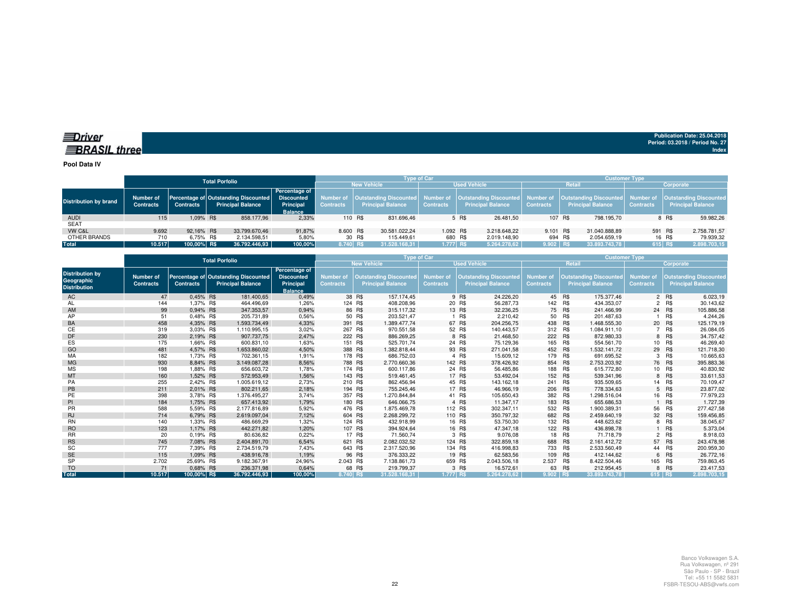## *<u>IDriver</u>* **BRASIL** three

**Publication Date: 25.04.2018Period: 03.2018 / Period No. 27 Index**

**Pool Data IV**

|                              |                                      | <b>Total Porfolio</b> |                                                                             |                                                     |                  |                                                                                                                                                                        |               | <b>Type of Car</b> |                          |              | <b>Customer Type</b> |  |                          |                  |                          |              |
|------------------------------|--------------------------------------|-----------------------|-----------------------------------------------------------------------------|-----------------------------------------------------|------------------|------------------------------------------------------------------------------------------------------------------------------------------------------------------------|---------------|--------------------|--------------------------|--------------|----------------------|--|--------------------------|------------------|--------------------------|--------------|
|                              |                                      |                       |                                                                             |                                                     |                  | <b>New Vehicle</b>                                                                                                                                                     |               |                    | <b>Used Vehicle</b>      |              | Retail               |  | Corporate                |                  |                          |              |
| <b>Distribution by brand</b> | <b>Number of</b><br><b>Contracts</b> | <b>Contracts</b>      | Percentage of Outstanding Discounted Discounted<br><b>Principal Balance</b> | <b>Percentage of</b><br>Principal<br><b>Balance</b> | <b>Contracts</b> | Number of  Outstanding Discounted  Number of  Outstanding Discounted  Number of  Outstanding Discounted  Number of  Outstanding Discounted<br><b>Principal Balance</b> |               | <b>Contracts</b>   | <b>Principal Balance</b> |              | <b>Contracts</b>     |  | <b>Principal Balance</b> | <b>Contracts</b> | <b>Principal Balance</b> |              |
| <b>AUDI</b>                  | 115                                  | 1.09% R\$             | 858.177.96                                                                  | 2,33%                                               |                  | 110 R\$                                                                                                                                                                | 831.696,46    |                    | 5 R\$                    | 26.481.50    | 107 R\$              |  | 798.195.70               |                  | 8 R\$                    | 59.982,26    |
| <b>SEAT</b>                  |                                      |                       |                                                                             |                                                     |                  |                                                                                                                                                                        |               |                    |                          |              |                      |  |                          |                  |                          |              |
| VW C&L                       | 9.692                                | 92.16% R\$            | 33.799.670.46                                                               | 91.87%                                              | 8,600 R\$        |                                                                                                                                                                        | 30.581.022.24 | 1.092 R\$          |                          | 3.218.648.22 | 9.101 R\$            |  | 31.040.888.89            | 591 R\$          |                          | 2.758.781,57 |
| OTHER BRANDS                 | 710                                  | 6.75% R\$             | 2.134.598.51                                                                | 5,80%                                               |                  | 30 R\$                                                                                                                                                                 | 115.449.61    | 680 R\$            |                          | 2.019.148.90 | 694 R\$              |  | 2.054.659.19             |                  | 16 R\$                   | 79.939,32    |
| Total                        | 10.517                               | 100.00% R\$           | 36.792.446,93                                                               | 100,00%                                             | 8.740 RS         |                                                                                                                                                                        | 31.528.168.31 | 1.777 RS           |                          | 5.264.278.62 | 9.902 RS             |  | 33.893.743.78            | 615 R\$          |                          | 2.898.703,15 |

|                                                             |                               |                  | <b>Total Porfolio</b>                                            |                                                                   | <b>Type of Car</b>                   |                                                           | <b>Customer Type</b>                 |         |                                                           |                               |            |                                                           |                                      |            |                                                           |
|-------------------------------------------------------------|-------------------------------|------------------|------------------------------------------------------------------|-------------------------------------------------------------------|--------------------------------------|-----------------------------------------------------------|--------------------------------------|---------|-----------------------------------------------------------|-------------------------------|------------|-----------------------------------------------------------|--------------------------------------|------------|-----------------------------------------------------------|
|                                                             |                               |                  |                                                                  |                                                                   |                                      | <b>New Vehicle</b>                                        |                                      |         | <b>Used Vehicle</b>                                       | <b>Retail</b>                 |            |                                                           |                                      | Corporate  |                                                           |
| <b>Distribution by</b><br>Geographic<br><b>Distribution</b> | Number of<br><b>Contracts</b> | <b>Contracts</b> | Percentage of Outstanding Discounted<br><b>Principal Balance</b> | Percentage of<br><b>Discounted</b><br>Principal<br><b>Balance</b> | <b>Number of</b><br><b>Contracts</b> | <b>Outstanding Discounted</b><br><b>Principal Balance</b> | <b>Number of</b><br><b>Contracts</b> |         | <b>Outstanding Discounted</b><br><b>Principal Balance</b> | Number of<br><b>Contracts</b> |            | <b>Outstanding Discounted</b><br><b>Principal Balance</b> | <b>Number of</b><br><b>Contracts</b> |            | <b>Outstanding Discounted</b><br><b>Principal Balance</b> |
| AC                                                          | 47                            | 0.45% R\$        | 181.400,65                                                       | 0,49%                                                             |                                      | 38 R\$<br>157.174.45                                      |                                      | 9 R\$   | 24.226,20                                                 |                               | 45 R\$     | 175,377,46                                                |                                      | 2 R\$      | 6.023,19                                                  |
| AL                                                          | 144                           | 1,37% R\$        | 464.496,69                                                       | 1,26%                                                             |                                      | 124 R\$<br>408.208,96                                     |                                      | 20 R\$  | 56.287,73                                                 | 142                           | R\$        | 434.353,07                                                |                                      | 2 R\$      | 30.143,62                                                 |
| AM                                                          | 99                            | 0.94% R\$        | 347.353,57                                                       | 0,94%                                                             |                                      | 86 R\$<br>315.117.32                                      |                                      | 13 R\$  | 32.236,25                                                 |                               | 75 R\$     | 241.466,99                                                |                                      | 24 R\$     | 105.886,58                                                |
| AP                                                          | 51                            | 0.48% R\$        | 205.731.89                                                       | 0,56%                                                             |                                      | 50 R\$<br>203.521.47                                      |                                      | R\$     | 2.210.42                                                  | 50                            | R\$        | 201.487.63                                                |                                      | <b>R\$</b> | 4.244,26                                                  |
| BA                                                          | 458                           | 4,35% R\$        | 1.593.734,49                                                     | 4,33%                                                             | 391 R\$                              | .389.477,74                                               |                                      | 67 R\$  | 204.256,75                                                | 438 R\$                       |            | 1.468.555,30                                              |                                      | 20 R\$     | 125.179,19                                                |
| СE                                                          | 319                           | 3.03% R\$        | 1.110.995,15                                                     | 3,02%                                                             | 267 R\$                              | 970.551,58                                                |                                      | 52 R\$  | 140.443,57                                                | 312                           | <b>R\$</b> | 1.084.911,10                                              |                                      | 7 R\$      | 26.084,05                                                 |
| DF                                                          | 230                           | 2,19% R\$        | 907.737,75                                                       | 2,47%                                                             | 222 R\$                              | 886.269.25                                                |                                      | 8 R\$   | 21.468,50                                                 | 222 R\$                       |            | 872.980.33                                                |                                      | 8 R\$      | 34.757,42                                                 |
| ES                                                          | 175                           | 1.66% R\$        | 600.831.10                                                       | 1.63%                                                             |                                      | 151 R\$<br>525.701,74                                     |                                      | 24 R\$  | 75.129,36                                                 | 165 R\$                       |            | 554.561,70                                                |                                      | 10 R\$     | 46.269,40                                                 |
| GO                                                          | 481                           | 4.57% R\$        | 1.653.860.02                                                     | 4,50%                                                             | 388 R\$                              | .382.818.44                                               |                                      | 93 R\$  | 271.041,58                                                | 452 R\$                       |            | 1.532.141.72                                              |                                      | 29 R\$     | 121.718,30                                                |
| MA                                                          | 182                           | 1,73% R\$        | 702.361.15                                                       | 1,91%                                                             | 178 R\$                              | 686.752,03                                                |                                      | 4 R\$   | 15.609,12                                                 | 179 R\$                       |            | 691.695,52                                                | 3                                    | R\$        | 10.665,63                                                 |
| <b>MG</b>                                                   | 930                           | 8.84% R\$        | 3.149.087,28                                                     | 8,56%                                                             | 788 R\$                              | 2.770.660.36                                              |                                      | 142 R\$ | 378.426.92                                                | 854 R\$                       |            | 2.753.203.92                                              |                                      | 76 R\$     | 395.883,36                                                |
| <b>MS</b>                                                   | 198                           | 1,88% R\$        | 656.603,72                                                       | 1,78%                                                             | 174 R\$                              | 600.117.86                                                |                                      | 24 R\$  | 56.485,86                                                 | 188                           | R\$        | 615,772.80                                                |                                      | 10 R\$     | 40.830,92                                                 |
| MT                                                          | 160                           | 1,52% R\$        | 572.953,49                                                       | 1,56%                                                             | 143 R\$                              | 519.461,45                                                |                                      | 17 R\$  | 53.492,04                                                 |                               | 152 R\$    | 539.341,96                                                |                                      | 8 R\$      | 33.611,53                                                 |
| PA                                                          | 255                           | 2,42% R\$        | 1.005.619.12                                                     | 2,73%                                                             | 210 R\$                              | 862.456,94                                                |                                      | 45 R\$  | 143.162,18                                                | 241                           | R\$        | 935.509,65                                                |                                      | 14 R\$     | 70.109,47                                                 |
| PB                                                          | 211                           | 2,01% R\$        | 802.211,65                                                       | 2,18%                                                             | 194 R\$                              | 755.245,46                                                |                                      | 17 R\$  | 46.966,19                                                 | 206 R\$                       |            | 778.334,63                                                |                                      | 5 R\$      | 23.877,02                                                 |
| PE                                                          | 398                           | 3,78% R\$        | 1.376.495,27                                                     | 3,74%                                                             | 357 R\$                              | 1.270.844,84                                              |                                      | 41 R\$  | 105.650,43                                                | 382 R\$                       |            | 1.298.516,04                                              |                                      | 16 R\$     | 77.979,23                                                 |
| PI                                                          | 184                           | 1.75% R\$        | 657.413.92                                                       | 1,79%                                                             | 180 R\$                              | 646.066.75                                                |                                      | 4 R\$   | 11.347.17                                                 | 183 R\$                       |            | 655.686.53                                                |                                      | <b>R\$</b> | 1.727,39                                                  |
| <b>PR</b>                                                   | 588                           | 5.59% R\$        | 2.177.816.89                                                     | 5,92%                                                             | 476 R\$                              | 1.875.469.78                                              |                                      | 112 R\$ | 302.347.11                                                | 532                           | R\$        | 1.900.389.31                                              | 56                                   | R\$        | 277.427,58                                                |
| <b>RJ</b>                                                   | 714                           | 6,79% R\$        | 2.619.097,04                                                     | 7,12%                                                             | 604 R\$                              | 2.268.299,72                                              |                                      | 110 R\$ | 350.797,32                                                | 682 R\$                       |            | 2.459.640,19                                              |                                      | 32 R\$     | 159.456,85                                                |
| <b>RN</b>                                                   | 140                           | 1,33% R\$        | 486.669,29                                                       | 1,32%                                                             |                                      | 124 R\$<br>432.918,99                                     |                                      | 16 R\$  | 53.750,30                                                 |                               | 132 R\$    | 448.623,62                                                |                                      | 8 R\$      | 38.045,67                                                 |
| <b>RO</b>                                                   | 123                           | 1.17% R\$        | 442.271.82                                                       | 1,20%                                                             | 107 R\$                              | 394.924.64                                                |                                      | 16 R\$  | 47.347.18                                                 | 122 R\$                       |            | 436.898,78                                                |                                      | 1 R\$      | 5.373,04                                                  |
| <b>RR</b>                                                   | 20                            | 0.19% R\$        | 80.636,82                                                        | 0,22%                                                             |                                      | 17 R\$<br>71.560,74                                       |                                      | 3 R\$   | 9.076,08                                                  | 18                            | R\$        | 71.718.79                                                 |                                      | 2 R\$      | 8.918,03                                                  |
| <b>RS</b>                                                   | 745                           | 7,08% R\$        | 2.404.891,70                                                     | 6,54%                                                             | 621 R\$                              | 2.082.032.52                                              |                                      | 124 R\$ | 322.859,18                                                | 688 R\$                       |            | 2.161.412.72                                              |                                      | 57 R\$     | 243.478,98                                                |
| SC                                                          | 777                           | 7.39% R\$        | 2.734.519,79                                                     | 7,43%                                                             | 643 R\$                              | 2.317.520,96                                              |                                      | 134 R\$ | 416.998,83                                                | 733                           | <b>R\$</b> | 2.533.560,49                                              |                                      | 44 R\$     | 200.959,30                                                |
| <b>SE</b>                                                   | 115                           | 1.09% R\$        | 438.916.78                                                       | 1,19%                                                             |                                      | 96 R\$<br>376.333.22                                      |                                      | 19 R\$  | 62.583.56                                                 | 109 R\$                       |            | 412.144.62                                                |                                      | 6 R\$      | 26.772,16                                                 |
| <b>SP</b>                                                   | 2.702                         | 25.69% R\$       | 9.182.367.91                                                     | 24,96%                                                            | 2.043 R\$                            | 7.138.861,73                                              |                                      | 659 R\$ | 2.043.506,18                                              | 2.537                         | <b>R\$</b> | 8.422.504,46                                              |                                      | 165 R\$    | 759.863,45                                                |
| <b>TO</b>                                                   | 71                            | 0.68% R\$        | 236.371,98                                                       | 0,64%                                                             |                                      | 68 R\$<br>219.799.37                                      |                                      | 3 R\$   | 16.572,61                                                 |                               | 63 R\$     | 212.954.45                                                |                                      | 8 R\$      | 23.417,53                                                 |
| <b>Total</b>                                                | 10.517                        | 100,00% R\$      | 36.792.446.93                                                    | 100.00%                                                           | 8.740 RS                             | 31.528.168.31                                             | 1.777 RS                             |         | 5.264.278.62                                              | $9.902$ RS                    |            | 33.893.743.78                                             | 615 RS                               |            | 2.898.703.15                                              |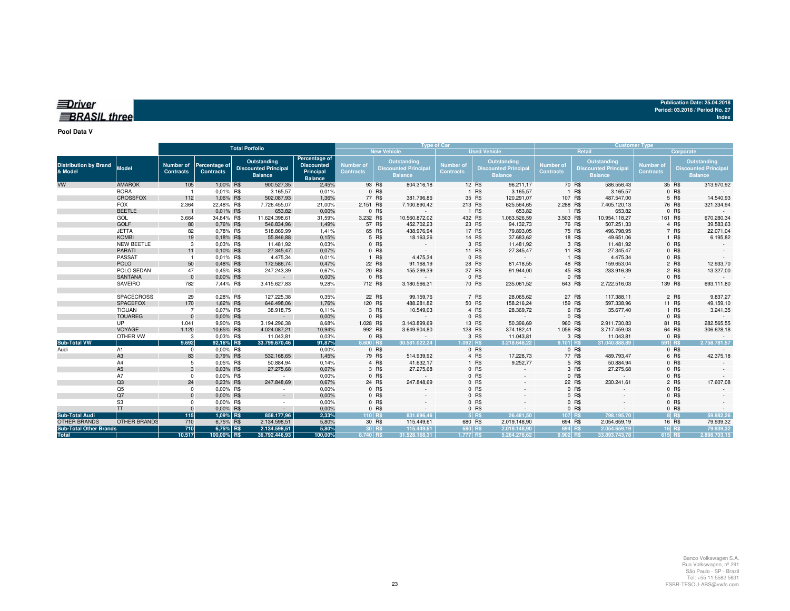| Publication Date: 25.04.2018    |  |
|---------------------------------|--|
| Period: 03.2018 / Period No. 27 |  |
| Index                           |  |

## *<u>IDriver</u>* **BRASIL** three

**Pool Data V**

|                                         |                     | <b>Total Porfolio</b>         |                                   |                                                              |                                                                   | <b>Type of Car</b>            |          |                                                              |                                      |         |                                                              | <b>Customer Type</b>          |        |                                                              |                                      |           |                                                              |
|-----------------------------------------|---------------------|-------------------------------|-----------------------------------|--------------------------------------------------------------|-------------------------------------------------------------------|-------------------------------|----------|--------------------------------------------------------------|--------------------------------------|---------|--------------------------------------------------------------|-------------------------------|--------|--------------------------------------------------------------|--------------------------------------|-----------|--------------------------------------------------------------|
|                                         |                     |                               |                                   |                                                              |                                                                   |                               |          | <b>New Vehicle</b>                                           |                                      |         | <b>Used Vehicle</b>                                          |                               |        | Retail                                                       |                                      | Corporate |                                                              |
| <b>Distribution by Brand</b><br>& Model | Model               | Number of<br><b>Contracts</b> | Percentage of<br><b>Contracts</b> | Outstanding<br><b>Discounted Principal</b><br><b>Balance</b> | Percentage of<br><b>Discounted</b><br>Principal<br><b>Balance</b> | Number of<br><b>Contracts</b> |          | Outstanding<br><b>Discounted Principal</b><br><b>Balance</b> | <b>Number of</b><br><b>Contracts</b> |         | Outstanding<br><b>Discounted Principal</b><br><b>Balance</b> | Number of<br><b>Contracts</b> |        | Outstanding<br><b>Discounted Principal</b><br><b>Balance</b> | <b>Number of</b><br><b>Contracts</b> |           | Outstanding<br><b>Discounted Principal</b><br><b>Balance</b> |
| VW                                      | <b>AMAROK</b>       | 105                           | 1,00% R\$                         | 900.527,35                                                   | 2,45%                                                             |                               | 93 R\$   | 804.316,18                                                   |                                      | 12 R\$  | 96.211,17                                                    |                               | 70 R\$ | 586.556,43                                                   |                                      | 35 R\$    | 313.970,92                                                   |
|                                         | <b>BORA</b>         |                               | 0,01% R\$                         | 3.165,57                                                     | 0,01%                                                             |                               | 0 R\$    | $\sim$                                                       |                                      | 1 R\$   | 3.165,57                                                     |                               | 1 R\$  | 3.165,57                                                     |                                      | 0 R\$     |                                                              |
|                                         | <b>CROSSFOX</b>     | 112                           | 1,06% R\$                         | 502.087,93                                                   | 1,36%                                                             |                               | 77 R\$   | 381.796,86                                                   |                                      | 35 R\$  | 120.291,07                                                   | 107 R\$                       |        | 487.547,00                                                   |                                      | 5 R\$     | 14.540,93                                                    |
|                                         | <b>FOX</b>          | 2.364                         | 22,48% R\$                        | 7.726.455,07                                                 | 21,00%                                                            | 2.151 R\$                     |          | 7.100.890,42                                                 | 213 R\$                              |         | 625.564,65                                                   | 2.288 R\$                     |        | 7.405.120,13                                                 |                                      | 76 R\$    | 321.334,94                                                   |
|                                         | <b>BEETLE</b>       |                               | 0,01% R\$                         | 653,82                                                       | 0,00%                                                             |                               | 0 R\$    | $\sim$                                                       |                                      | 1 R\$   | 653,82                                                       |                               | 1 R\$  | 653,82                                                       |                                      | 0 R\$     |                                                              |
|                                         | GOL                 | 3.664                         | 34,84% R\$                        | 11.624.398,61                                                | 31,59%                                                            | 3.232 R\$                     |          | 10.560.872,02                                                | 432 R\$                              |         | 1.063.526,59                                                 | 3.503 R\$                     |        | 10.954.118,27                                                | 161 R\$                              |           | 670.280,34                                                   |
|                                         | <b>GOLF</b>         | 80                            | 0.76% R\$                         | 546.834,96                                                   | 1,49%                                                             |                               | 57 R\$   | 452.702,23                                                   |                                      | 23 R\$  | 94.132,73                                                    |                               | 76 R\$ | 507.251,33                                                   |                                      | 4 R\$     | 39.583,63                                                    |
|                                         | <b>JETTA</b>        | 82                            | 0.78% R\$                         | 518.869,99                                                   | 1,41%                                                             |                               | 65 R\$   | 438.976,94                                                   |                                      | 17 R\$  | 79.893,05                                                    |                               | 75 R\$ | 496.798,95                                                   |                                      | 7 R\$     | 22.071,04                                                    |
|                                         | <b>KOMBI</b>        | 19                            | 0,18% R\$                         | 55.846,88                                                    | 0,15%                                                             |                               | 5 R\$    | 18.163,26                                                    |                                      | 14 R\$  | 37.683,62                                                    |                               | 18 R\$ | 49.651,06                                                    |                                      | 1 R\$     | 6.195,82                                                     |
|                                         | NEW BEETLE          | 3                             | 0.03% R\$                         | 11.481,92                                                    | 0,03%                                                             |                               | 0 R\$    |                                                              |                                      | 3 R\$   | 11.481,92                                                    |                               | 3 R\$  | 11.481,92                                                    |                                      | 0 R\$     |                                                              |
|                                         | <b>PARATI</b>       | 11                            | 0,10% R\$                         | 27.345,47                                                    | 0,07%                                                             |                               | 0 R\$    |                                                              |                                      | 11 R\$  | 27.345,47                                                    |                               | 11 R\$ | 27.345,47                                                    |                                      | 0 R\$     |                                                              |
|                                         | PASSAT              |                               | 0.01% R\$                         | 4.475,34                                                     | 0,01%                                                             |                               | 1 R\$    | 4.475,34                                                     |                                      | 0 R\$   |                                                              |                               | 1 R\$  | 4.475,34                                                     |                                      | 0 R\$     |                                                              |
|                                         | <b>POLO</b>         | 50                            | 0.48% R\$                         | 172.586,74                                                   | 0,47%                                                             |                               | 22 R\$   | 91.168,19                                                    |                                      | 28 R\$  | 81.418,55                                                    |                               | 48 R\$ | 159.653,04                                                   |                                      | 2 R\$     | 12.933,70                                                    |
|                                         | POLO SEDAN          | 47                            | 0,45% R\$                         | 247.243,39                                                   | 0,67%                                                             |                               | 20 R\$   | 155.299,39                                                   |                                      | 27 R\$  | 91.944,00                                                    |                               | 45 R\$ | 233.916,39                                                   |                                      | 2 R\$     | 13.327,00                                                    |
|                                         | <b>SANTANA</b>      | $\mathbf{0}$                  | 0,00% R\$                         | $\sim$                                                       | 0,00%                                                             |                               | 0 R\$    |                                                              |                                      | 0 R\$   |                                                              |                               | 0 R\$  |                                                              |                                      | $0$ R\$   |                                                              |
|                                         | SAVEIRO             | 782                           | 7,44% R\$                         | 3.415.627,83                                                 | 9,28%                                                             | 712 R\$                       |          | 3.180.566,31                                                 |                                      | 70 R\$  | 235.061,52                                                   | 643 R\$                       |        | 2.722.516,03                                                 | 139 R\$                              |           | 693.111,80                                                   |
|                                         | SPACECROSS          |                               |                                   | 127.225,38                                                   | 0,35%                                                             |                               | 22 R\$   | 99.159,76                                                    |                                      | 7 R\$   | 28.065,62                                                    |                               | 27 R\$ | 117.388,11                                                   |                                      | 2 R\$     | 9.837,27                                                     |
|                                         | <b>SPACEFOX</b>     | 29<br>170                     | 0,28% R\$<br>1,62% R\$            | 646.498,06                                                   | 1,76%                                                             |                               | 120 R\$  | 488.281,82                                                   |                                      | 50 R\$  | 158.216,24                                                   | 159 R\$                       |        | 597.338,96                                                   |                                      | 11 R\$    | 49.159,10                                                    |
|                                         | <b>TIGUAN</b>       | $\overline{7}$                | 0,07% R\$                         | 38.918,75                                                    | 0,11%                                                             |                               | 3 R\$    | 10.549,03                                                    |                                      | 4 R\$   | 28.369,72                                                    |                               | 6 R\$  | 35.677,40                                                    |                                      | 1 R\$     | 3.241,35                                                     |
|                                         | <b>TOUAREG</b>      | $\Omega$                      | 0,00% R\$                         | $\sim$                                                       | 0,00%                                                             |                               | 0 R\$    |                                                              |                                      | 0 R\$   |                                                              |                               | 0 R\$  | $\sim$                                                       |                                      | 0 R\$     |                                                              |
|                                         | UP                  | 1.041                         | 9,90% R\$                         | 3.194.296,38                                                 | 8,68%                                                             | 1.028 R\$                     |          | 3.143.899,69                                                 |                                      | 13 R\$  | 50.396,69                                                    | 960 R\$                       |        | 2.911.730,83                                                 |                                      | 81 R\$    | 282.565,55                                                   |
|                                         | VOYAGE              | 1.120                         | 10,65% R\$                        | 4.024.087,21                                                 | 10,94%                                                            | 992 R\$                       |          | 3.649.904,80                                                 |                                      | 128 R\$ | 374.182,41                                                   | 1.056 R\$                     |        | 3.717.459,03                                                 |                                      | 64 R\$    | 306.628,18                                                   |
|                                         | OTHER VW            | 3                             | 0,03% R\$                         | 11.043,81                                                    | 0,03%                                                             |                               | 0 R\$    | $\sim$                                                       |                                      | 3 R\$   | 11.043,81                                                    |                               | 3 R\$  | 11.043,81                                                    |                                      | 0 R\$     |                                                              |
| <b>Sub-Total VW</b>                     |                     | 9.692                         | 92,16% R\$                        | 33.799.670,46                                                | 91,87%                                                            | 8.600 R\$                     |          | 30.581.022.24                                                | 1.092 R\$                            |         | 3.218.648.22                                                 | $9.101$ R\$                   |        | 31.040.888.89                                                | 591 R\$                              |           | 2.758.781.57                                                 |
| Audi                                    | A1                  | $^{\circ}$                    | 0.00% R\$                         | $\sim$                                                       | 0,00%                                                             |                               | 0 R\$    |                                                              |                                      | 0 R\$   |                                                              |                               | 0 R\$  | $\sim$                                                       |                                      | 0 R\$     |                                                              |
|                                         | A <sub>3</sub>      | 83                            | 0,79% R\$                         | 532.168,65                                                   | 1,45%                                                             |                               | 79 R\$   | 514.939,92                                                   |                                      | 4 R\$   | 17.228,73                                                    |                               | 77 R\$ | 489.793,47                                                   |                                      | 6 R\$     | 42.375,18                                                    |
|                                         | A4                  | 5                             | 0.05% R\$                         | 50.884,94                                                    | 0,14%                                                             |                               | 4 R\$    | 41.632,17                                                    |                                      | 1 R\$   | 9.252,77                                                     |                               | 5 R\$  | 50.884,94                                                    |                                      | 0 R\$     |                                                              |
|                                         | A <sub>5</sub>      | 3                             | 0,03% R\$                         | 27.275,68                                                    | 0,07%                                                             |                               | 3 R\$    | 27.275,68                                                    |                                      | $0$ R\$ |                                                              |                               | 3 R\$  | 27.275,68                                                    |                                      | 0 R\$     |                                                              |
|                                         | A7                  | 0                             | 0,00% R\$                         | $\sim$                                                       | 0,00%                                                             |                               | 0 R\$    |                                                              |                                      | $0$ R\$ |                                                              |                               | 0 R\$  |                                                              |                                      | $0$ R\$   |                                                              |
|                                         | Q3                  | 24                            | 0,23% R\$                         | 247.848,69                                                   | 0,67%                                                             |                               | 24 R\$   | 247.848,69                                                   |                                      | 0 R\$   |                                                              |                               | 22 R\$ | 230.241,61                                                   |                                      | 2 R\$     | 17.607,08                                                    |
|                                         | Q <sub>5</sub>      | $\Omega$                      | 0.00% R\$                         | $\sim$                                                       | 0,00%                                                             |                               | 0 R\$    |                                                              |                                      | 0 R\$   |                                                              |                               | 0 R\$  |                                                              |                                      | 0 R\$     |                                                              |
|                                         | Q7                  | $\Omega$                      | 0.00% R\$                         | $\sim$                                                       | 0,00%                                                             |                               | 0 R\$    |                                                              |                                      | 0 R\$   |                                                              |                               | 0 R\$  |                                                              |                                      | 0 R\$     |                                                              |
|                                         | S <sub>3</sub>      | $\Omega$                      | 0,00% R\$                         | $\sim$                                                       | 0,00%                                                             |                               | 0 R\$    |                                                              |                                      | $0$ R\$ |                                                              |                               | 0 R\$  |                                                              |                                      | 0 R\$     |                                                              |
|                                         | <b>TT</b>           | $\Omega$                      | 0,00% R\$                         | $\sim$                                                       | 0,00%                                                             |                               | 0 R\$    |                                                              |                                      | $0$ R\$ |                                                              |                               | 0 R\$  |                                                              |                                      | $0$ R\$   |                                                              |
| <b>Sub-Total Audi</b>                   |                     | 115                           | 1,09% R\$                         | 858.177,96                                                   | 2,33%                                                             | 110 R\$                       |          | 831.696.46                                                   |                                      | $5$ R\$ | 26.481,50                                                    | 107 R\$                       |        | 798.195,70                                                   |                                      | 8 R\$     | 59.982,26                                                    |
| <b>OTHER BRANDS</b>                     | <b>OTHER BRANDS</b> | 710                           | 6,75% R\$                         | 2.134.598,51                                                 | 5,80%                                                             |                               | 30 R\$   | 115.449,61                                                   | 680 R\$                              |         | 2.019.148,90                                                 | 694 R\$                       |        | 2.054.659,19                                                 |                                      | 16 R\$    | 79.939,32                                                    |
| <b>Sub-Total Other Brands</b>           |                     | 710                           | 6,75% R\$                         | 2.134.598,51                                                 | 5,80%                                                             |                               | $30$ R\$ | 115.449.61                                                   | 680 R\$                              |         | 2.019.148.90                                                 | 694 R\$                       |        | 2.054.659.19                                                 |                                      | 16 R\$    | 79.939.32                                                    |
| <b>Total</b>                            |                     | 10.517                        | 100,00% R\$                       | 36.792.446,93                                                | 100,00%                                                           | 8.740 R\$                     |          | 31.528.168.31                                                | 1.777 R\$                            |         | 5.264.278.62                                                 | 9.902 RS                      |        | 33.893.743.78                                                | 615 R\$                              |           | 2.898.703,15                                                 |

**Index**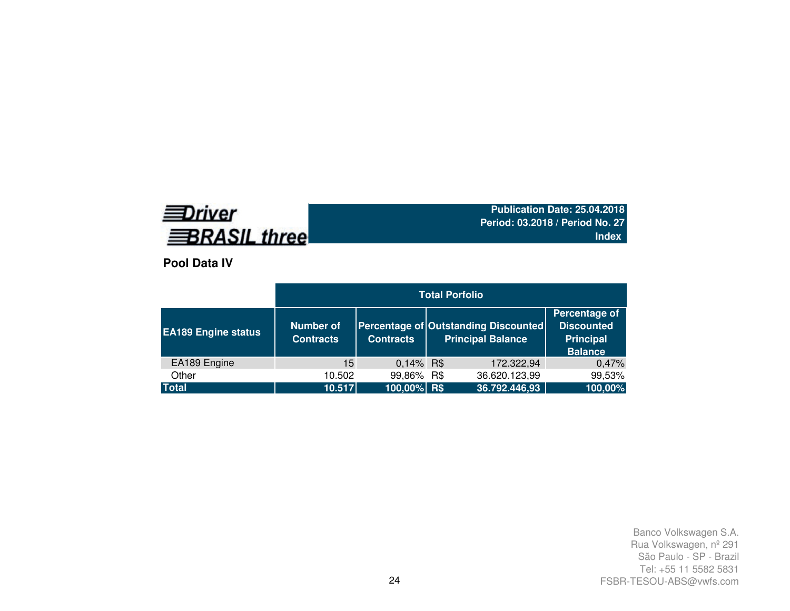# **EDriver BRASIL three**

**Publication Date: 25.04.2018 Period: 03.2018 / Period No. 27Index**

**Pool Data IV**

|                            | <b>Total Porfolio</b>                |                  |  |                                                                  |                                                                          |  |  |  |  |  |  |
|----------------------------|--------------------------------------|------------------|--|------------------------------------------------------------------|--------------------------------------------------------------------------|--|--|--|--|--|--|
| <b>EA189 Engine status</b> | <b>Number of</b><br><b>Contracts</b> | <b>Contracts</b> |  | Percentage of Outstanding Discounted<br><b>Principal Balance</b> | Percentage of<br><b>Discounted</b><br><b>Principal</b><br><b>Balance</b> |  |  |  |  |  |  |
| EA189 Engine               | 15                                   | $0,14\%$ R\$     |  | 172.322,94                                                       | 0,47%                                                                    |  |  |  |  |  |  |
| Other                      | 10.502                               | 99,86% R\$       |  | 36.620.123,99                                                    | 99,53%                                                                   |  |  |  |  |  |  |
| <b>Total</b>               | 10.517                               | 100,00% R\$      |  | 36.792.446,93                                                    | 100,00%                                                                  |  |  |  |  |  |  |